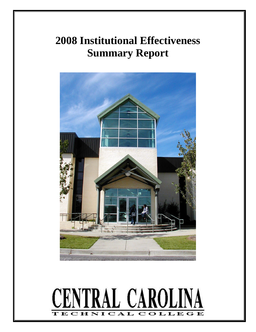# **2008 Institutional Effectiveness Summary Report**



#### **CENTRAL CAROLINA**  $C\rightarrow$ LLE  $_{\textbf{H}}$ т  $\bullet$ т.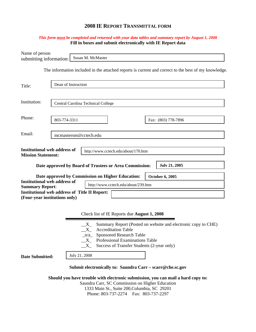### **2008 IE REPORT TRANSMITTAL FORM**

#### *This form must be completed and returned with your data tables and summary report by August 1, 2008*  **Fill in boxes and submit electronically with IE Report data**

| Name of person<br>submitting information:                                                      | Susan M. McMaster                                                                                                                                                                                                                                                                                                                            |
|------------------------------------------------------------------------------------------------|----------------------------------------------------------------------------------------------------------------------------------------------------------------------------------------------------------------------------------------------------------------------------------------------------------------------------------------------|
|                                                                                                | The information included in the attached reports is current and correct to the best of my knowledge.                                                                                                                                                                                                                                         |
| Title:                                                                                         | Dean of Instruction                                                                                                                                                                                                                                                                                                                          |
| Institution:                                                                                   | Central Carolina Technical College                                                                                                                                                                                                                                                                                                           |
| Phone:                                                                                         | 803-774-3311<br>Fax: (803) 778-7896                                                                                                                                                                                                                                                                                                          |
| Email:                                                                                         | mcmastersm@cctech.edu                                                                                                                                                                                                                                                                                                                        |
| <b>Institutional web address of</b><br><b>Mission Statement:</b>                               | http://www.cctech.edu/about/170.htm<br><b>July 21, 2005</b><br>Date approved by Board of Trustees or Area Commission:                                                                                                                                                                                                                        |
| <b>Institutional web address of</b><br><b>Summary Report:</b><br>(Four-year institutions only) | Date approved by Commission on Higher Education:<br>October 6, 2005<br>http://www.cctech.edu/about/239.htm<br><b>Institutional web address of Title II Report:</b>                                                                                                                                                                           |
| <b>Date Submitted:</b>                                                                         | Check list of IE Reports due August 1, 2008<br>Summary Report (Posted on website and electronic copy to CHE)<br>$X_{-}$<br><b>Accreditation Table</b><br>$\mathbf{X}$<br><b>Sponsored Research Table</b><br>n/a<br>Professional Examinations Table<br>$X_{-}$<br>Success of Transfer Students (2-year only)<br>$\mathbf{X}$<br>July 21, 2008 |
|                                                                                                | Submit electronically to: Saundra Carr - scarr@che.sc.gov<br>Should you have trouble with electronic submission, you can mail a hard copy to:<br>Saundra Carr, SC Commission on Higher Education                                                                                                                                             |

1333 Main St., Suite 200,Columbia, SC 29201 Phone: 803-737-2274 Fax: 803-737-2297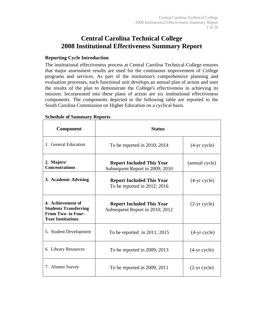## **Central Carolina Technical College 2008 Institutional Effectiveness Summary Report**

### **Reporting Cycle Introduction**

The institutional effectiveness process at Central Carolina Technical College ensures that major assessment results are used for the continuous improvement of College programs and services. As part of the institution's comprehensive planning and evaluation processes, each functional unit develops an annual plan of action and uses the results of the plan to demonstrate the College's effectiveness in achieving its mission. Incorporated into these plans of action are six institutional effectiveness components. The components depicted in the following table are reported to the South Carolina Commission on Higher Education on a cyclical basis.

| <b>Component</b>                                                                                           | <b>Status</b>                                                       |                |
|------------------------------------------------------------------------------------------------------------|---------------------------------------------------------------------|----------------|
| 1. General Education                                                                                       | To be reported in $2010$ ; $2014$                                   | $(4-yr cycle)$ |
| 2. Majors/<br><b>Concentrations</b>                                                                        | <b>Report Included This Year</b><br>Subsequent Report in 2009; 2010 | (annual cycle) |
| 3. Academic Advising                                                                                       | <b>Report Included This Year</b><br>To be reported in 2012; 2016    | $(4-yr cycle)$ |
| 4. Achievement of<br><b>Students Transferring</b><br><b>From Two- to Four-</b><br><b>Year Institutions</b> | <b>Report Included This Year</b><br>Subsequent Report in 2010; 2012 | $(2-yr cycle)$ |
| 5. Student Development                                                                                     | To be reported in $2011$ ; $2015$                                   | $(4-yr cycle)$ |
| 6. Library Resources                                                                                       | To be reported in $2009$ ; $2013$                                   | $(4-yr cycle)$ |
| 7. Alumni Survey                                                                                           | To be reported in 2009; $2011$                                      | $(2-yr cycle)$ |

#### **Schedule of Summary Reports**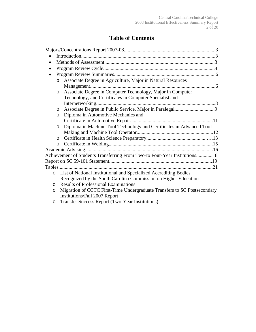### **Table of Contents**

| $\bullet$ |                                                                                 |  |
|-----------|---------------------------------------------------------------------------------|--|
| $\bullet$ |                                                                                 |  |
| $\bullet$ |                                                                                 |  |
| $\bullet$ |                                                                                 |  |
|           | Associate Degree in Agriculture, Major in Natural Resources<br>$\circ$          |  |
|           |                                                                                 |  |
|           | Associate Degree in Computer Technology, Major in Computer<br>$\circ$           |  |
|           | Technology, and Certificates in Computer Specialist and                         |  |
|           |                                                                                 |  |
|           | $\circ$                                                                         |  |
|           | Diploma in Automotive Mechanics and<br>$\circ$                                  |  |
|           |                                                                                 |  |
|           | Diploma in Machine Tool Technology and Certificates in Advanced Tool<br>$\circ$ |  |
|           |                                                                                 |  |
|           | $\circ$                                                                         |  |
|           | $\circ$                                                                         |  |
|           |                                                                                 |  |
|           | Achievement of Students Transferring From Two-to Four-Year Institutions18       |  |
|           |                                                                                 |  |
| Tables    |                                                                                 |  |
| $\circ$   | List of National Institutional and Specialized Accrediting Bodies               |  |
|           | Recognized by the South Carolina Commission on Higher Education                 |  |
| O         | <b>Results of Professional Examinations</b>                                     |  |
| $\circ$   | Migration of CCTC First-Time Undergraduate Transfers to SC Postsecondary        |  |
|           | Institutions/Fall 2007 Report                                                   |  |
|           | $\sim$ $\sim$ $\sim$ $\sim$ $\sim$ $\sim$ $\sim$ $\sim$                         |  |

o Transfer Success Report (Two-Year Institutions)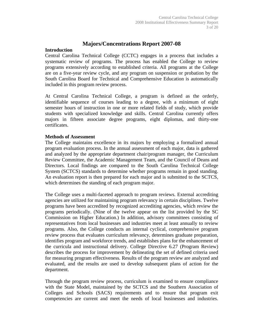### **Majors/Concentrations Report 2007-08**

#### **Introduction**

Central Carolina Technical College (CCTC) engages in a process that includes a systematic review of programs. The process has enabled the College to review programs extensively according to established criteria. All programs at the College are on a five-year review cycle, and any program on suspension or probation by the South Carolina Board for Technical and Comprehensive Education is automatically included in this program review process.

At Central Carolina Technical College, a program is defined as the orderly, identifiable sequence of courses leading to a degree, with a minimum of eight semester hours of instruction in one or more related fields of study, which provide students with specialized knowledge and skills. Central Carolina currently offers majors in fifteen associate degree programs, eight diplomas, and thirty-one certificates.

#### **Methods of Assessment**

The College maintains excellence in its majors by employing a formalized annual program evaluation process. In the annual assessment of each major, data is gathered and analyzed by the appropriate department chair/program manager, the Curriculum Review Committee, the Academic Management Team, and the Council of Deans and Directors. Local findings are compared to the South Carolina Technical College System (SCTCS) standards to determine whether programs remain in good standing. An evaluation report is then prepared for each major and is submitted to the SCTCS, which determines the standing of each program major.

The College uses a multi-faceted approach to program reviews. External accrediting agencies are utilized for maintaining program relevancy in certain disciplines. Twelve programs have been accredited by recognized accrediting agencies, which review the programs periodically. (Nine of the twelve appear on the list provided by the SC Commission on Higher Education.) In addition, advisory committees consisting of representatives from local businesses and industries meet at least annually to review programs. Also, the College conducts an internal cyclical, comprehensive program review process that evaluates curriculum relevancy, determines graduate preparation, identifies program and workforce trends, and establishes plans for the enhancement of the curricula and instructional delivery. College Directive 6.27 (Program Review) describes the process for improvement by delineating the set of defined criteria used for measuring program effectiveness. Results of the program review are analyzed and evaluated, and the results are used to develop subsequent plans of action for the department.

Through the program review process, curriculum is examined to ensure compliance with the State Model, maintained by the SCTCS and the Southern Association of Colleges and Schools (SACS) requirements and to ensure that program exit competencies are current and meet the needs of local businesses and industries.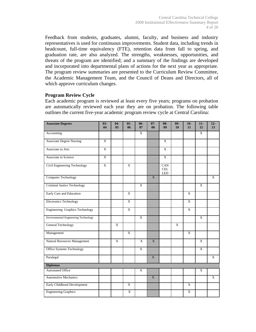Feedback from students, graduates, alumni, faculty, and business and industry representatives is used for continuous improvements. Student data, including trends in headcount, full-time equivalency (FTE), retention data from fall to spring, and graduation rate, are also analyzed. The strengths, weaknesses, opportunities, and threats of the program are identified; and a summary of the findings are developed and incorporated into departmental plans of actions for the next year as appropriate. The program review summaries are presented to the Curriculum Review Committee, the Academic Management Team, and the Council of Deans and Directors, all of which approve curriculum changes.

#### **Program Review Cycle**

Each academic program is reviewed at least every five years; programs on probation are automatically reviewed each year they are on probation. The following table outlines the current five-year academic program review cycle at Central Carolina:

| <b>Associate Degrees</b>               | $03 -$<br>04   | $04-$<br>0 <sub>5</sub> | $05 -$<br>06   | $06 -$<br>07   | $07 -$<br>08   | $08-$<br>09                                        | $09-$<br>10 | $10-$<br>11    | $11-$<br>12 | $12-$<br>13  |
|----------------------------------------|----------------|-------------------------|----------------|----------------|----------------|----------------------------------------------------|-------------|----------------|-------------|--------------|
| Accounting                             |                |                         |                | X              |                |                                                    |             |                | X           |              |
| <b>Associate Degree Nursing</b>        | X              |                         |                |                |                | X                                                  |             |                |             |              |
| Associate in Arts                      | $\overline{X}$ |                         |                |                |                | X                                                  |             |                |             |              |
| Associate in Science                   | $\mathbf X$    |                         |                |                |                | $\mathbf X$                                        |             |                |             |              |
| Civil Engineering Technology           | $\overline{X}$ |                         | $\overline{X}$ |                |                | CAN<br>$\mbox{CEL}$<br>$\ensuremath{\mathsf{LED}}$ |             |                |             |              |
| <b>Computer Technology</b>             |                |                         |                |                | $\overline{X}$ |                                                    |             |                |             | X            |
| Criminal Justice Technology            |                |                         |                | $\overline{X}$ |                |                                                    |             |                | X           |              |
| Early Care and Education               |                |                         | X              |                |                |                                                    |             | X              |             |              |
| <b>Electronics Technology</b>          |                |                         | $\overline{X}$ |                |                |                                                    |             | X              |             |              |
| <b>Engineering Graphics Technology</b> |                |                         | $\mathbf X$    |                |                |                                                    |             | $\mathbf X$    |             |              |
| Environmental Engineering Technology   |                |                         |                | X              |                |                                                    |             |                | X           |              |
| <b>General Technology</b>              |                | X                       |                |                |                |                                                    | X           |                |             |              |
| Management                             |                |                         | X              |                |                |                                                    |             | $\overline{X}$ |             |              |
| Natural Resources Management           |                | X                       |                | X              | $\overline{X}$ |                                                    |             |                | X           |              |
| Office Systems Technology              |                |                         |                | X              |                |                                                    |             |                | X           |              |
| Paralegal                              |                |                         |                |                | X              |                                                    |             |                |             | X            |
| <b>Diplomas</b>                        |                |                         |                |                |                |                                                    |             |                |             |              |
| <b>Automated Office</b>                |                |                         |                | X              |                |                                                    |             |                | X           |              |
| <b>Automotive Mechanics</b>            |                |                         |                |                | $\mathbf{X}$   |                                                    |             |                |             | $\mathbf{X}$ |
| Early Childhood Development            |                |                         | X              |                |                |                                                    |             | X              |             |              |
| <b>Engineering Graphics</b>            |                |                         | X              |                |                |                                                    |             | X              |             |              |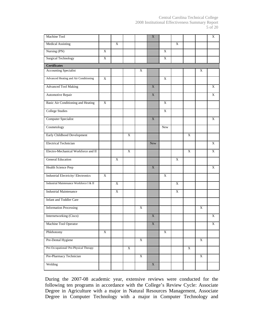Central Carolina Technical College 2008 Institutional Effectiveness Summary Report 5 of 20

| Machine Tool                            |             |   |             |             | $\mathbf X$ |                |   |             |   | X                       |
|-----------------------------------------|-------------|---|-------------|-------------|-------------|----------------|---|-------------|---|-------------------------|
| <b>Medical Assisting</b>                |             | X |             |             |             |                | X |             |   |                         |
| Nursing (PN)                            | X           |   |             |             |             | X              |   |             |   |                         |
| <b>Surgical Technology</b>              | $\mathbf X$ |   |             |             |             | X              |   |             |   |                         |
| <b>Certificates</b>                     |             |   |             |             |             |                |   |             |   |                         |
| <b>Accounting Specialist</b>            |             |   |             | X           |             |                |   |             | X |                         |
| Advanced Heating and Air Conditioning   | X           |   |             |             |             | X              |   |             |   |                         |
| <b>Advanced Tool Making</b>             |             |   |             |             | X           |                |   |             |   | X                       |
| Automotive Repair                       |             |   |             |             | $\mathbf X$ |                |   |             |   | $\mathbf X$             |
| Basic Air Conditioning and Heating      | X           |   |             |             |             | $\mathbf X$    |   |             |   |                         |
| <b>College Studies</b>                  |             |   |             |             |             | X              |   |             |   |                         |
| <b>Computer Specialist</b>              |             |   |             |             | $\mathbf X$ |                |   |             |   | X                       |
| Cosmetology                             |             |   |             |             |             | New            |   |             |   |                         |
| Early Childhood Development             |             |   | X           |             |             |                |   | X           |   |                         |
| <b>Electrical Technician</b>            |             |   |             |             | <b>New</b>  |                |   |             |   | X                       |
| Electro-Mechanical Workforce and II     |             |   | X           |             |             |                |   | X           |   | $\mathbf X$             |
| <b>General Education</b>                |             | X |             |             |             |                | X |             |   |                         |
| Health Science Prep                     |             |   |             |             | X           |                |   |             |   | X                       |
| Industrial Electricity/Electronics      | $\mathbf X$ |   |             |             |             | $\mathbf X$    |   |             |   |                         |
| Industrial Maintenance Workforce I & II |             | X |             |             |             |                | X |             |   |                         |
| <b>Industrial Maintenance</b>           |             | X |             |             |             |                | X |             |   |                         |
| <b>Infant and Toddler Care</b>          |             |   |             |             |             |                |   |             |   |                         |
| <b>Information Processing</b>           |             |   |             | X           |             |                |   |             | X |                         |
| Internetworking (Cisco)                 |             |   |             |             | $\mathbf X$ |                |   |             |   | X                       |
| Machine Tool Operator                   |             |   |             |             | $\mathbf X$ |                |   |             |   | $\overline{\textbf{X}}$ |
| Phlebotomy                              | $\mathbf X$ |   |             |             |             | $\overline{X}$ |   |             |   |                         |
| Pre-Dental Hygiene                      |             |   |             | X           |             |                |   |             | X |                         |
| Pre-Occupational/ Pre-Physical Therapy  |             |   | $\mathbf X$ |             |             |                |   | $\mathbf X$ |   |                         |
| Pre-Pharmacy Technician                 |             |   |             | $\mathbf X$ |             |                |   |             | X |                         |
| Welding                                 |             |   |             |             | $\mathbf X$ |                |   |             |   |                         |

During the 2007-08 academic year, extensive reviews were conducted for the following ten programs in accordance with the College's Review Cycle: Associate Degree in Agriculture with a major in Natural Resources Management, Associate Degree in Computer Technology with a major in Computer Technology and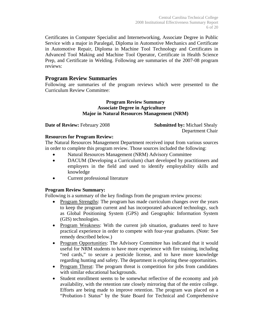Certificates in Computer Specialist and Internetworking, Associate Degree in Public Service with a major in Paralegal, Diploma in Automotive Mechanics and Certificate in Automotive Repair, Diploma in Machine Tool Technology and Certificates in Advanced Tool Making and Machine Tool Operator, Certificate in Health Science Prep, and Certificate in Welding. Following are summaries of the 2007-08 program reviews:

### **Program Review Summaries**

Following are summaries of the program reviews which were presented to the Curriculum Review Committee:

#### **Program Review Summary Associate Degree in Agriculture Major in Natural Resources Management (NRM)**

**Date of Review:** February 2008 **Submitted by:** Michael Shealy

Department Chair

### **Resources for Program Review:**

The Natural Resources Management Department received input from various sources in order to complete this program review. Those sources included the following:

- Natural Resources Management (NRM) Advisory Committee
- DACUM (Developing a Curriculum) chart developed by practitioners and employers in the field and used to identify employability skills and knowledge
- Current professional literature

### **Program Review Summary:**

Following is a summary of the key findings from the program review process:

- Program Strengths: The program has made curriculum changes over the years to keep the program current and has incorporated advanced technology, such as Global Positioning System (GPS) and Geographic Information System (GIS) technologies.
- Program Weakness: With the current job situation, graduates need to have practical experience in order to compete with four-year graduates. (Note: See remedy described below.)
- Program Opportunities: The Advisory Committee has indicated that it would useful for NRM students to have more experience with fire training, including "red cards," to secure a pesticide license, and to have more knowledge regarding hunting and safety. The department is exploring these opportunities.
- Program Threat: The program threat is competition for jobs from candidates with similar educational backgrounds.
- Student enrollment seems to be somewhat reflective of the economy and job availability, with the retention rate closely mirroring that of the entire college. Efforts are being made to improve retention. The program was placed on a "Probation-1 Status" by the State Board for Technical and Comprehensive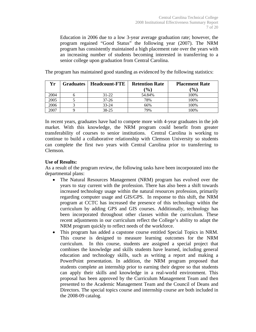Education in 2006 due to a low 3-year average graduation rate; however, the program regained "Good Status" the following year (2007). The NRM program has consistently maintained a high placement rate over the years with an increasing number of students becoming interested in transferring to a senior college upon graduation from Central Carolina.

**Yr** Graduates | Headcount-FTE | Retention Rate  $\frac{(\frac{6}{6})}{54.84\%}$ **Placement Rate**   $\frac{(9/6)}{100\%}$ 2004 6 31-22 54.84% 100% 2005 5 37-26 78% 100%

2006 3 33-24 66% 100% 2007 9 38-25 79% 100%

The program has maintained good standing as evidenced by the following statistics:

In recent years, graduates have had to compete more with 4-year graduates in the job market. With this knowledge, the NRM program could benefit from greater transferability of courses to senior institutions. Central Carolina is working to continue to build a collaborative relationship with Clemson University so students can complete the first two years with Central Carolina prior to transferring to Clemson.

#### **Use of Results:**

As a result of the program review, the following tasks have been incorporated into the departmental plans:

- The Natural Resources Management (NRM) program has evolved over the years to stay current with the profession. There has also been a shift towards increased technology usage within the natural resources profession, primarily regarding computer usage and GIS/GPS. In response to this shift, the NRM program at CCTC has increased the presence of this technology within the curriculum by adding GPS and GIS courses. Additionally, technology has been incorporated throughout other classes within the curriculum. These recent adjustments in our curriculum reflect the College's ability to adapt the NRM program quickly to reflect needs of the workforce.
- This program has added a capstone course entitled Special Topics in NRM. This course is designed to measure learning outcomes for the NRM curriculum. In this course, students are assigned a special project that combines the knowledge and skills students have learned, including general education and technology skills, such as writing a report and making a PowerPoint presentation. In addition, the NRM program proposed that students complete an internship prior to earning their degree so that students can apply their skills and knowledge in a real-world environment. This proposal has been approved by the Curriculum Management Team and then presented to the Academic Management Team and the Council of Deans and Directors. The special topics course and internship course are both included in the 2008-09 catalog.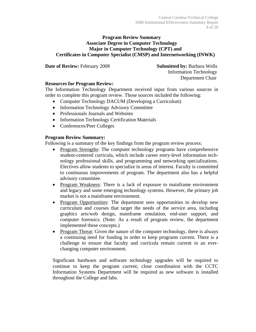#### **Program Review Summary Associate Degree in Computer Technology Major in Computer Technology (CPT) and Certificates in Computer Specialist (CMSP) and Internetworking (INWK)**

**Date of Review:** February 2008 **Submitted by: Barbara Wells** 

 Information Technology Department Chair

#### **Resources for Program Review:**

The Information Technology Department received input from various sources in order to complete this program review. Those sources included the following:

- Computer Technology DACUM (Developing a Curriculum)
- Information Technology Advisory Committee
- Professionals Journals and Websites
- Information Technology Certification Materials
- Conferences/Peer Colleges

### **Program Review Summary:**

Following is a summary of the key findings from the program review process:

- Program Strengths: The computer technology programs have comprehensive student-centered curricula, which include career entry-level information technology professional skills, and programming and networking specializations. Electives allow students to specialize in areas of interest. Faculty is committed to continuous improvements of program. The department also has a helpful advisory committee.
- Program Weakness: There is a lack of exposure to mainframe environment and legacy and some emerging technology systems. However, the primary job market is not a mainframe environment.
- Program Opportunities: The department sees opportunities to develop new curriculum and courses that target the needs of the service area, including graphics arts/web design, mainframe emulation, end-user support, and computer forensics. (Note: As a result of program review, the department implemented these concepts.)
- Program Threat: Given the nature of the computer technology, there is always a continuing need for funding in order to keep programs current. There is a challenge to ensure that faculty and curricula remain current in an everchanging computer environment.

Significant hardware and software technology upgrades will be required to continue to keep the program current; close coordination with the CCTC Information Systems Department will be required as new software is installed throughout the College and labs.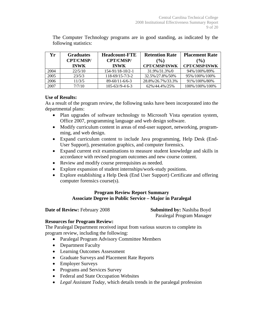| Yг   | <b>Graduates</b><br><b>CPT/CMSP/</b><br><b>INWK</b> | <b>Headcount-FTE</b><br><b>CPT/CMSP/</b><br><b>INWK</b> | <b>Retention Rate</b><br>$($ %)<br><b>CPT/CMSP/INWK</b> | <b>Placement Rate</b><br>$($ %)<br><b>CPT/CMSP/INWK</b> |
|------|-----------------------------------------------------|---------------------------------------------------------|---------------------------------------------------------|---------------------------------------------------------|
| 2004 | 22/5/10                                             | 154-91/18-10/2-1                                        | 31.9%/31.3%/0                                           | 94%/100%/89%                                            |
| 2005 | 23/5/3                                              | $118-69/15-7/3-2$                                       | 32.5%/27.8%/50%                                         | 95%/100%/100%                                           |
| 2006 | 11/3/5                                              | $89 - 60/11 - 6/6 - 3$                                  | 28.8%/26.7%/33.3%                                       | 91%/100%/80%                                            |
| 2007 | 7/7/10                                              | $105 - 63/9 - 46 - 3$                                   | 62%/44.4%/25%                                           | 100%/100%/100%                                          |

The Computer Technology programs are in good standing, as indicated by the following statistics:

### **Use of Results:**

As a result of the program review, the following tasks have been incorporated into the departmental plans:

- Plan upgrades of software technology to Microsoft Vista operation system, Office 2007, programming language and web design software.
- Modify curriculum content in areas of end-user support, networking, programming, and web design.
- Expand curriculum content to include Java programming, Help Desk (End-User Support), presentation graphics, and computer forensics.
- Expand current exit examinations to measure student knowledge and skills in accordance with revised program outcomes and new course content.
- Review and modify course prerequisites as needed.
- Explore expansion of student internships/work-study positions.
- Explore establishing a Help Desk (End User Support) Certificate and offering computer forensics course(s).

### **Program Review Report Summary Associate Degree in Public Service – Major in Paralegal**

**Date of Review: February 2008 Submitted by: Nashiba Boyd** 

Paralegal Program Manager

### **Resources for Program Review:**

The Paralegal Department received input from various sources to complete its program review, including the following:

- Paralegal Program Advisory Committee Members
- Department Faculty
- Learning Outcomes Assessment
- • Graduate Surveys and Placement Rate Reports
- Employer Surveys
- Programs and Services Survey
- Federal and State Occupation Websites
- *Legal Assistant Today*, which details trends in the paralegal profession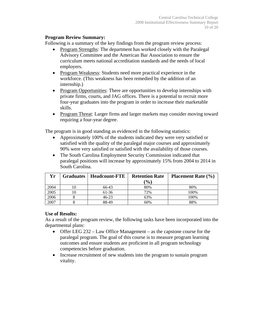#### **Program Review Summary:**

Following is a summary of the key findings from the program review process:

- Program Strengths: The department has worked closely with the Paralegal Advisory Committee and the American Bar Association to ensure the curriculum meets national accreditation standards and the needs of local employers.
- Program Weakness: Students need more practical experience in the workforce. (This weakness has been remedied by the addition of an internship.)
- Program Opportunities: There are opportunities to develop internships with private firms, courts, and JAG offices. There is a potential to recruit more four-year graduates into the program in order to increase their marketable skills.
- Program Threat: Larger firms and larger markets may consider moving toward requiring a four-year degree.

The program is in good standing as evidenced in the following statistics:

- Approximately 100% of the students indicated they were very satisfied or satisfied with the quality of the paralegal major courses and approximately 90% were very satisfied or satisfied with the availability of those courses.
- The South Carolina Employment Security Commission indicated that paralegal positions will increase by approximately 15% from 2004 to 2014 in South Carolina.

| Yr   | <b>Graduates</b> | <b>Headcount-FTE</b> | <b>Retention Rate</b> | <b>Placement Rate</b> (%) |
|------|------------------|----------------------|-----------------------|---------------------------|
|      |                  |                      | $($ %)                |                           |
| 2004 | 10               | 66-43                | 80%                   | 80%                       |
| 2005 | 10               | 61-36                | 72%                   | 100%                      |
| 2006 |                  | $46 - 23$            | 63%                   | 100%                      |
| 2007 |                  | 88-49                | 60%                   | 88%                       |

### **Use of Results:**

As a result of the program review, the following tasks have been incorporated into the departmental plans:

- Offer LEG 232 Law Office Management as the capstone course for the paralegal program. The goal of this course is to measure program learning outcomes and ensure students are proficient in all program technology competencies before graduation.
- Increase recruitment of new students into the program to sustain program vitality.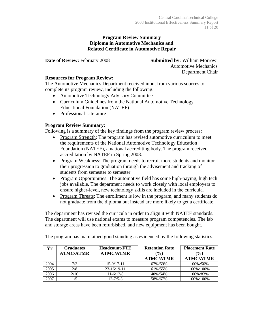#### **Program Review Summary Diploma in Automotive Mechanics and Related Certificate in Automotive Repair**

**Date of Review: February 2008 <b>Submitted by:** William Morrow Automotive Mechanics Department Chair

#### **Resources for Program Review:**

The Automotive Mechanics Department received input from various sources to complete its program review, including the following:

- Automotive Technology Advisory Committee
- Curriculum Guidelines from the National Automotive Technology Educational Foundation (NATEF)
- Professional Literature

#### **Program Review Summary:**

Following is a summary of the key findings from the program review process:

- Program Strength: The program has revised automotive curriculum to meet the requirements of the National Automotive Technology Education Foundation (NATEF), a national accrediting body. The program received accreditation by NATEF in Spring 2008.
- Program Weakness: The program needs to recruit more students and monitor their progression to graduation through the advisement and tracking of students from semester to semester.
- Program Opportunities: The automotive field has some high-paying, high tech jobs available. The department needs to work closely with local employers to ensure higher-level, new technology skills are included in the curricula.
- Program Threats: The enrollment is low in the program, and many students do not graduate from the diploma but instead are more likely to get a certificate.

The department has revised the curricula in order to align it with NATEF standards. The department will use national exams to measure program competencies. The lab and storage areas have been refurbished, and new equipment has been bought.

| Yr   | <b>Graduates</b><br><b>ATMC/ATMR</b> | <b>Headcount-FTE</b><br><b>ATMC/ATMR</b> | <b>Retention Rate</b><br>$\frac{9}{6}$<br><b>ATMC/ATMR</b> | <b>Placement Rate</b><br>$($ %)<br><b>ATMC/ATMR</b> |
|------|--------------------------------------|------------------------------------------|------------------------------------------------------------|-----------------------------------------------------|
| 2004 | 7/2                                  | $15-9/17-11$                             | 67%/59%                                                    | 100%/50%                                            |
| 2005 | 2/8                                  | 23-16/19-11                              | 61%/55%                                                    | 100%/100%                                           |
| 2006 | 2/10                                 | $11 - 6/13/8$                            | 40%/54%                                                    | 100%/83%                                            |
| 2007 | 1/5                                  | $12 - 7/5 - 3$                           | 58%/67%                                                    | 100%/100%                                           |

The program has maintained good standing as evidenced by the following statistics: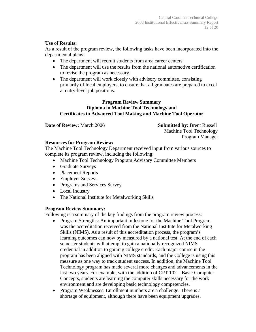#### **Use of Results:**

As a result of the program review, the following tasks have been incorporated into the departmental plans:

- The department will recruit students from area career centers.
- The department will use the results from the national automotive certification to revise the program as necessary.
- The department will work closely with advisory committee, consisting primarily of local employers, to ensure that all graduates are prepared to excel at entry-level job positions.

### **Program Review Summary Diploma in Machine Tool Technology and Certificates in Advanced Tool Making and Machine Tool Operator**

**Date of Review:** March 2006 **Submitted by: Brent Russell**  Machine Tool Technology Program Manager

#### **Resources for Program Review:**

The Machine Tool Technology Department received input from various sources to complete its program review, including the following:

- Machine Tool Technology Program Advisory Committee Members
- Graduate Surveys
- Placement Reports
- Employer Surveys
- Programs and Services Survey
- Local Industry
- The National Institute for Metalworking Skills

### **Program Review Summary:**

Following is a summary of the key findings from the program review process:

- Program Strengths: An important milestone for the Machine Tool Program was the accreditation received from the National Institute for Metalworking Skills (NIMS). As a result of this accreditation process, the program's learning outcomes can now by measured by a national test. At the end of each semester students will attempt to gain a nationally recognized NIMS credential in addition to gaining college credit. Each major course in the program has been aligned with NIMS standards, and the College is using this measure as one way to track student success. In addition, the Machine Tool Technology program has made several more changes and advancements in the last two years. For example, with the addition of CPT 102 – Basic Computer Concepts, students are learning the computer skills necessary for the work environment and are developing basic technology competencies.
- Program Weaknesses: Enrollment numbers are a challenge. There is a shortage of equipment, although there have been equipment upgrades.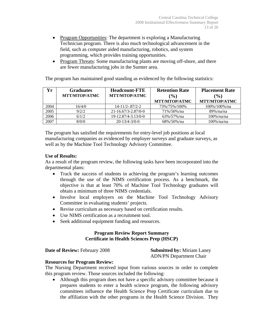- Program Opportunities: The department is exploring a Manufacturing Technician program. There is also much technological advancement in the field, such as computer aided manufacturing, robotics, and system programming, which provides training opportunities.
- Program Threats: Some manufacturing plants are moving off-shore, and there are fewer manufacturing jobs in the Sumter area.

**Yr Graduates MTT/MTOP/ATMC Headcount-FTE MTT/MTOP/ATMC Retention Rate (%) MTT/MTOP/ATMC Placement Rate (%) MTT/MTOP/ATMC**  2004 16/4/0 14-11/2-.87/2-2 73%/75%/100% 100%/100%/na 2005 9/2/2 21-16.67/3-2.87/0-0 71%/50%/na 89%/na/na 2006 6/1/2 19-12.87/4-3.13/0-0 63%/57%/na 100%/na/na 2007 8/0/0 20-13/4-3/0-0 68%/50%/na 100%/na/na

The program has maintained good standing as evidenced by the following statistics:

The program has satisfied the requirements for entry-level job positions at local manufacturing companies as evidenced by employer surveys and graduate surveys, as well as by the Machine Tool Technology Advisory Committee.

#### **Use of Results:**

As a result of the program review, the following tasks have been incorporated into the departmental plans:

- Track the success of students in achieving the program's learning outcomes through the use of the NIMS certification process. As a benchmark, the objective is that at least 70% of Machine Tool Technology graduates will obtain a minimum of three NIMS credentials.
- Involve local employers on the Machine Tool Technology Advisory Committee in evaluating students' projects.
- Revise curriculum as necessary based on certification results.
- Use NIMS certification as a recruitment tool.
- Seek additional equipment funding and resources.

#### **Program Review Report Summary Certificate in Health Sciences Prep (HSCP)**

**Date of Review:** February 2008 **Submitted by:** Miriam Laney

ADN/PN Department Chair

#### **Resources for Program Review:**

The Nursing Department received input from various sources in order to complete this program review. Those sources included the following:

• Although this program does not have a specific advisory committee because it prepares students to enter a health science program, the following advisory committees influence the Health Science Prep Certificate curriculum due to the affiliation with the other programs in the Health Science Division. They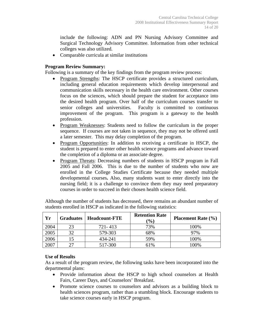include the following: ADN and PN Nursing Advisory Committee and Surgical Technology Advisory Committee. Information from other technical colleges was also utilized.

• Comparable curricula at similar institutions

### **Program Review Summary:**

Following is a summary of the key findings from the program review process:

- Program Strengths: The HSCP certificate provides a structured curriculum, including general education requirements which develop interpersonal and communication skills necessary in the health care environment. Other courses focus on the sciences, which should prepare the student for acceptance into the desired health program. Over half of the curriculum courses transfer to senior colleges and universities. Faculty is committed to continuous improvement of the program. This program is a gateway to the health profession.
- Program Weaknesses: Students need to follow the curriculum in the proper sequence. If courses are not taken in sequence, they may not be offered until a later semester. This may delay completion of the program.
- Program Opportunities: In addition to receiving a certificate in HSCP, the student is prepared to enter other health science programs and advance toward the completion of a diploma or an associate degree.
- • Program Threats: Decreasing numbers of students in HSCP program in Fall 2005 and Fall 2006. This is due to the number of students who now are enrolled in the College Studies Certificate because they needed multiple developmental courses**.** Also, many students want to enter directly into the nursing field; it is a challenge to convince them they may need preparatory courses in order to succeed in their chosen health science field.

| Yr   | <b>Graduates</b> | <b>Headcount-FTE</b> | <b>Retention Rate</b><br>(%) | <b>Placement Rate</b> (%) |
|------|------------------|----------------------|------------------------------|---------------------------|
| 2004 | 23               | $721 - 413$          | 73%                          | 100%                      |
| 2005 | 32               | 579-303              | 68%                          | 97%                       |
| 2006 |                  | 434-241              | 59%                          | 100%                      |
| 2007 | つフ               | 517-300              | 61%                          | 100%                      |

Although the number of students has decreased, there remains an abundant number of students enrolled in HSCP as indicated in the following statistics:

### **Use of Results**

As a result of the program review, the following tasks have been incorporated into the departmental plans:

- • Provide information about the HSCP to high school counselors at Health Fairs, Career Days, and Counselors' Breakfast.
- Promote science courses to counselors and advisors as a building block to health sciences program, rather than a stumbling block. Encourage students to take science courses early in HSCP program.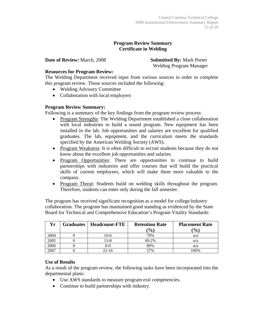### **Program Review Summary Certificate in Welding**

**Date of Review:** March, 2008 **Submitted By:** Mark Porter

Welding Program Manager

#### **Resources for Program Review:**

The Welding Department received input from various sources in order to complete this program review. Those sources included the following:

- Welding Advisory Committee
- Collaboration with local employers

#### **Program Review Summary:**

Following is a summary of the key findings from the program review process:

- Program Strengths: The Welding Department established a close collaboration with local industries to build a sound program. New equipment has been installed in the lab. Job opportunities and salaries are excellent for qualified graduates. The lab, equipment, and the curriculum meets the standards specified by the American Welding Society (AWS).
- Program Weakness: It is often difficult to recruit students because they do not know about the excellent job opportunities and salaries.
- Program Opportunities: There are opportunities to continue to build partnerships with industries and offer courses that will build the practical skills of current employees, which will make them more valuable to the company.
- Program Threat: Students build on welding skills throughout the program. Therefore, students can enter only during the fall semester.

The program has received significant recognition as a model for college/industry collaboration. The program has maintained good standing as evidenced by the State Board for Technical and Comprehensive Education's Program Vitality Standards:

| Yr   | Graduates   Headcount-FTE | <b>Retention Rate</b>        | <b>Placement Rate</b> |
|------|---------------------------|------------------------------|-----------------------|
|      |                           | $\left( \frac{0}{0} \right)$ | $\frac{1}{2}$         |
| 2004 | $10-6$                    | 70%                          | n/a                   |
| 2005 | 13-8                      | 69.2%                        | n/a                   |
| 2006 | $0 - 0$                   | 80%                          | n/a                   |
| 2007 | $22 - 16$                 | 57%                          | 100%                  |

#### **Use of Results**

As a result of the program review, the following tasks have been incorporated into the departmental plans:

- Use AWS standards to measure program exit competencies.
- Continue to build partnerships with industry.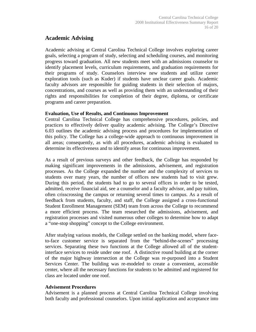### **Academic Advising**

Academic advising at Central Carolina Technical College involves exploring career goals, selecting a program of study, selecting and scheduling courses, and monitoring progress toward graduation. All new students meet with an admissions counselor to identify placement levels, curriculum requirements, and graduation requirements for their programs of study. Counselors interview new students and utilize career exploration tools (such as Kuder) if students have unclear career goals. Academic faculty advisors are responsible for guiding students in their selection of majors, concentrations, and courses as well as providing them with an understanding of their rights and responsibilities for completion of their degree, diploma, or certificate programs and career preparation.

#### **Evaluation, Use of Results, and Continuous Improvement**

Central Carolina Technical College has comprehensive procedures, policies, and practices to effectively deliver quality academic advising. The College's Directive 6.03 outlines the academic advising process and procedures for implementation of this policy. The College has a college-wide approach to continuous improvement in all areas; consequently, as with all procedures, academic advising is evaluated to determine its effectiveness and to identify areas for continuous improvement.

As a result of previous surveys and other feedback, the College has responded by making significant improvements in the admissions, advisement, and registration processes. As the College expanded the number and the complexity of services to students over many years, the number of offices new students had to visit grew. During this period, the students had to go to several offices in order to be tested, admitted, receive financial aid, see a counselor and a faculty advisor, and pay tuition, often crisscrossing the campus or returning several times to campus. As a result of feedback from students, faculty, and staff, the College assigned a cross-functional Student Enrollment Management (SEM) team from across the College to recommend a more efficient process. The team researched the admissions, advisement, and registration processes and visited numerous other colleges to determine how to adapt a "one-stop shopping" concept to the College environment.

After studying various models, the College settled on the banking model, where faceto-face customer service is separated from the "behind-the-scenes" processing services. Separating these two functions at the College allowed all of the studentinterface services to reside under one roof. A distinctive round building at the corner of the major highway intersection at the College was re-purposed into a Student Services Center. The building was re-modeled to create a convenient, accessible center, where all the necessary functions for students to be admitted and registered for class are located under one roof.

### **Advisement Procedures**

Advisement is a planned process at Central Carolina Technical College involving both faculty and professional counselors. Upon initial application and acceptance into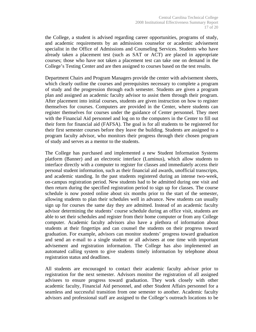the College, a student is advised regarding career opportunities, programs of study, and academic requirements by an admissions counselor or academic advisement specialist in the Office of Admissions and Counseling Services. Students who have already taken a placement test (such as SAT or ACT) are placed in appropriate courses; those who have not taken a placement test can take one on demand in the College's Testing Center and are then assigned to courses based on the test results.

Department Chairs and Program Managers provide the center with advisement sheets, which clearly outline the courses and prerequisites necessary to complete a program of study and the progression through each semester. Students are given a program plan and assigned an academic faculty advisor to assist them through their program. After placement into initial courses, students are given instruction on how to register themselves for courses. Computers are provided in the Center, where students can register themselves for courses under the guidance of Center personnel. They meet with the Financial Aid personnel and log on to the computers in the Center to fill out their form for financial aid (FAFSA). The goal is for all students to be registered for their first semester courses before they leave the building. Students are assigned to a program faculty advisor, who monitors their progress through their chosen program of study and serves as a mentor to the students.

The College has purchased and implemented a new Student Information Systems platform (Banner) and an electronic interface (Luminus), which allow students to interface directly with a computer to register for classes and immediately access their personal student information, such as their financial aid awards, unofficial transcripts, and academic standing. In the past students registered during an intense two-week, on-campus registration period. New students had to be admitted during one visit and then return during the specified registration period to sign up for classes. The course schedule is now posted online about six months prior to the start of the semester, allowing students to plan their schedules well in advance. New students can usually sign up for courses the same day they are admitted. Instead of an academic faculty advisor determining the students' course schedule during an office visit, students are able to set their schedules and register from their home computer or from any College computer. Academic faculty advisors also have a plethora of information about students at their fingertips and can counsel the students on their progress toward graduation. For example, advisors can monitor students' progress toward graduation and send an e-mail to a single student or all advisees at one time with important advisement and registration information. The College has also implemented an automated calling system to give students timely information by telephone about registration status and deadlines.

All students are encouraged to contact their academic faculty advisor prior to registration for the next semester. Advisors monitor the registration of all assigned advisees to ensure progress toward graduation. They work closely with other academic faculty, Financial Aid personnel, and other Student Affairs personnel for a seamless and successful transition from one semester to another. Academic faculty advisors and professional staff are assigned to the College's outreach locations to be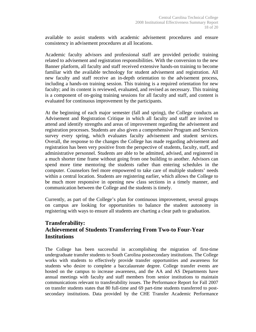available to assist students with academic advisement procedures and ensure consistency in advisement procedures at all locations.

Academic faculty advisors and professional staff are provided periodic training related to advisement and registration responsibilities. With the conversion to the new Banner platform, all faculty and staff received extensive hands-on training to become familiar with the available technology for student advisement and registration. All new faculty and staff receive an in-depth orientation to the advisement process, including a hands-on training session. This training is a required orientation for new faculty; and its content is reviewed, evaluated, and revised as necessary. This training is a component of on-going training sessions for all faculty and staff, and content is evaluated for continuous improvement by the participants.

At the beginning of each major semester (fall and spring), the College conducts an Advisement and Registration Critique in which all faculty and staff are invited to attend and identify strengths and areas of improvement regarding the advisement and registration processes. Students are also given a comprehensive Program and Services survey every spring, which evaluates faculty advisement and student services. Overall, the response to the changes the College has made regarding advisement and registration has been very positive from the perspective of students, faculty, staff, and administrative personnel. Students are able to be admitted, advised, and registered in a much shorter time frame without going from one building to another. Advisors can spend more time mentoring the students rather than entering schedules in the computer. Counselors feel more empowered to take care of multiple students' needs within a central location. Students are registering earlier, which allows the College to be much more responsive in opening new class sections in a timely manner, and communication between the College and the students is timely.

Currently, as part of the College's plan for continuous improvement, several groups on campus are looking for opportunities to balance the student autonomy in registering with ways to ensure all students are charting a clear path to graduation.

### **Transferability: Achievement of Students Transferring From Two-to Four-Year Institutions**

The College has been successful in accomplishing the migration of first-time undergraduate transfer students to South Carolina postsecondary institutions. The College works with students to effectively provide transfer opportunities and awareness for students who desire to complete a baccalaureate degree. College transfer events are hosted on the campus to increase awareness, and the AA and AS Departments have annual meetings with faculty and staff members from senior institutions to maintain communications relevant to transferability issues. The Performance Report for Fall 2007 on transfer students states that 80 full-time and 69 part-time students transferred to postsecondary institutions. Data provided by the CHE Transfer Academic Performance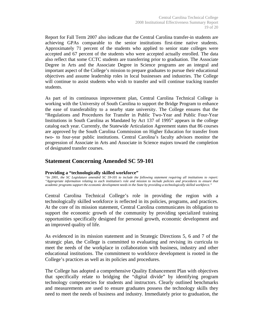Report for Fall Term 2007 also indicate that the Central Carolina transfer-in students are achieving GPAs comparable to the senior institutions first-time native students. Approximately 71 percent of the students who applied to senior state colleges were accepted and 67 percent of the students who were accepted actually enrolled. The data also reflect that some CCTC students are transferring prior to graduation. The Associate Degree in Arts and the Associate Degree in Science programs are an integral and important aspect of the College's mission to prepare graduates to pursue their educational objectives and assume leadership roles in local businesses and industries. The College will continue to assist students who wish to transfer and will continue tracking transfer students.

As part of its continuous improvement plan, Central Carolina Technical College is working with the University of South Carolina to support the Bridge Program to enhance the ease of transferability to a nearby state university. The College ensures that the "Regulations and Procedures for Transfer in Public Two-Year and Public Four-Year Institutions in South Carolina as Mandated by Act 137 of 1995" appears in the college catalog each year. Currently, the Statewide Articulation Agreement states that 86 courses are approved by the South Carolina Commission on Higher Education for transfer from two- to four-year public institutions. Central Carolina's faculty advisors monitor the progression of Associate in Arts and Associate in Science majors toward the completion of designated transfer courses.

### **Statement Concerning Amended SC 59-101**

#### **Providing a "technologically skilled workforce"**

*"In 2001, the SC Legislature amended SC 59-101 to include the following statement requiring all institutions to report: "Appropriate information relating to each institution's role and mission to include policies and procedures to ensure that academic programs support the economic development needs in the State by providing a technologically skilled workforce."* 

Central Carolina Technical College's role in providing the region with a technologically skilled workforce is reflected in its policies, programs, and practices. At the core of its mission statement, Central Carolina communicates its obligation to support the economic growth of the community by providing specialized training opportunities specifically designed for personal growth, economic development and an improved quality of life.

As evidenced in its mission statement and in Strategic Directions 5, 6 and 7 of the strategic plan, the College is committed to evaluating and revising its curricula to meet the needs of the workplace in collaboration with business, industry and other educational institutions. The commitment to workforce development is rooted in the College's practices as well as its policies and procedures.

The College has adopted a comprehensive Quality Enhancement Plan with objectives that specifically relate to bridging the "digital divide" by identifying program technology competencies for students and instructors. Clearly outlined benchmarks and measurements are used to ensure graduates possess the technology skills they need to meet the needs of business and industry. Immediately prior to graduation, the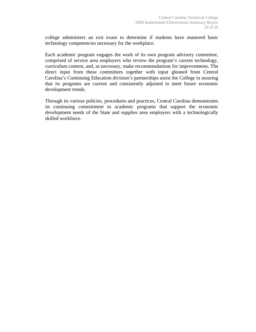college administers an exit exam to determine if students have mastered basic technology competencies necessary for the workplace.

Each academic program engages the work of its own program advisory committee, comprised of service area employers who review the program's current technology, curriculum content, and, as necessary, make recommendations for improvements. The direct input from these committees together with input gleaned from Central Carolina's Continuing Education division's partnerships assist the College in assuring that its programs are current and consistently adjusted to meet future economic development trends.

Through its various policies, procedures and practices, Central Carolina demonstrates its continuing commitment to academic programs that support the economic development needs of the State and supplies area employers with a technologically skilled workforce.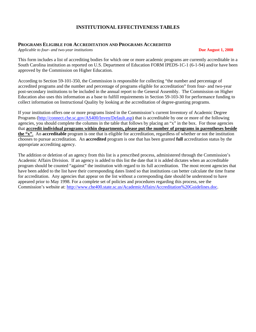### **INSTITUTIONAL EFFECTIVENESS TABLES**

#### **PROGRAMS ELIGIBLE FOR ACCREDITATION AND PROGRAMS ACCREDITED**

*Applicable to four- and two-year institutions Due August 1, 2008* 

This form includes a list of accrediting bodies for which one or more academic programs are currently accreditable in a South Carolina institution as reported on U.S. Department of Education FORM IPEDS-1C-1 (6-1-94) and/or have been approved by the Commission on Higher Education.

According to Section 59-101-350, the Commission is responsible for collecting "the number and percentage of accredited programs and the number and percentage of programs eligible for accreditation" from four- and two-year post-secondary institutions to be included in the annual report to the General Assembly. The Commission on Higher Education also uses this information as a base to fulfill requirements in Section 59-103-30 for performance funding to collect information on Instructional Quality by looking at the accreditation of degree-granting programs.

If your institution offers one or more programs listed in the Commission's current Inventory of Academic Degree Programs ([http://connect.che.sc.gov/AS400/Inven/Default.asp\)](http://connect.che.sc.gov/AS400/Inven/Default.asp) that is accreditable by one or more of the following agencies, you should complete the columns in the table that follows by placing an "x" in the box. For those agencies that **accredit individual programs within departments, please put the number of programs in parentheses beside the "x"**. An **accreditable** program is one that is eligible for accreditation, regardless of whether or not the institution chooses to pursue accreditation. An **accredited** program is one that has been granted **full** accreditation status by the appropriate accrediting agency.

The addition or deletion of an agency from this list is a prescribed process, administered through the Commission's Academic Affairs Division. If an agency is added to this list the date that it is added dictates when an accreditable program should be counted "against" the institution with regard to its full accreditation. The most recent agencies that have been added to the list have their corresponding dates listed so that institutions can better calculate the time frame for accreditation. Any agencies that appear on the list without a corresponding date should be understood to have appeared prior to May 1998. For a complete set of policies and procedures regarding this process, see the Commission's website at: [http://www.che400.state.sc.us/AcademicAffairs/Accreditation%20Guidelines.doc.](http://www.che400.state.sc.us/AcademicAffairs/Accreditation%20Guidelines.doc)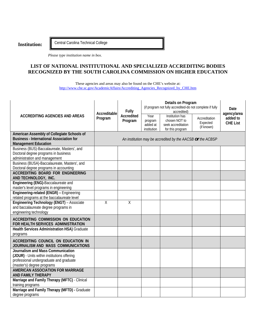**Institution: Central Carolina Technical College** 

*Please type institution name in box.* 

### **LIST OF NATIONAL INSTITUTIONAL AND SPECIALIZED ACCREDITING BODIES RECOGNIZED BY THE SOUTH CAROLINA COMMISSION ON HIGHER EDUCATION**

These agencies and areas may also be found on the CHE's website at: http://www.che.sc.gov/AcademicAffairs/Accrediting\_Agencies\_Recognized\_by\_CHE.htm

| <b>ACCREDITING AGENCIES AND AREAS</b>                                                                                        | Accreditable<br>Program | Fully<br>Accredited<br>Program | Year<br>program<br>added at<br><i>institution</i> | Details on Program<br>(if program not fully accredited-do not complete if fully<br>accredited)<br>Institution has<br>chosen NOT to<br>seek accreditation<br>for this program | Accreditation<br>Expected<br>(if known) | Date<br>agency/area<br>added to<br><b>CHE List</b> |
|------------------------------------------------------------------------------------------------------------------------------|-------------------------|--------------------------------|---------------------------------------------------|------------------------------------------------------------------------------------------------------------------------------------------------------------------------------|-----------------------------------------|----------------------------------------------------|
| American Assembly of Collegiate Schools of<br><b>Business - International Association for</b><br><b>Management Education</b> |                         |                                |                                                   | An institution may be accredited by the AACSB or the ACBSP                                                                                                                   |                                         |                                                    |
| Business (BUS)-Baccalaureate, Masters', and                                                                                  |                         |                                |                                                   |                                                                                                                                                                              |                                         |                                                    |
| Doctoral degree programs in business                                                                                         |                         |                                |                                                   |                                                                                                                                                                              |                                         |                                                    |
| administration and management                                                                                                |                         |                                |                                                   |                                                                                                                                                                              |                                         |                                                    |
| Business (BUSA)-Baccalaureate, Masters', and<br>Doctoral degree programs in accounting                                       |                         |                                |                                                   |                                                                                                                                                                              |                                         |                                                    |
| <b>ACCREDITING BOARD FOR ENGINEERING</b>                                                                                     |                         |                                |                                                   |                                                                                                                                                                              |                                         |                                                    |
| AND TECHNOLOGY, INC.                                                                                                         |                         |                                |                                                   |                                                                                                                                                                              |                                         |                                                    |
| Engineering (ENG)-Baccalaureate and                                                                                          |                         |                                |                                                   |                                                                                                                                                                              |                                         |                                                    |
| master's level programs in engineering                                                                                       |                         |                                |                                                   |                                                                                                                                                                              |                                         |                                                    |
| Engineering-related (ENGR) - Engineering                                                                                     |                         |                                |                                                   |                                                                                                                                                                              |                                         |                                                    |
| related programs at the baccalaureate level                                                                                  |                         |                                |                                                   |                                                                                                                                                                              |                                         |                                                    |
| Engineering Technology (ENGT) - Associate<br>and baccalaureate degree programs in<br>engineering technology                  | X                       | $\sf X$                        |                                                   |                                                                                                                                                                              |                                         |                                                    |
| <b>ACCREDITING COMMISSION ON EDUCATION</b><br>FOR HEALTH SERVICES ADMINISTRATION                                             |                         |                                |                                                   |                                                                                                                                                                              |                                         |                                                    |
| Health Services Administration HSA) Graduate                                                                                 |                         |                                |                                                   |                                                                                                                                                                              |                                         |                                                    |
| programs                                                                                                                     |                         |                                |                                                   |                                                                                                                                                                              |                                         |                                                    |
| ACCREDITING COUNCIL ON EDUCATION IN<br>JOURNALISM AND MASS COMMUNICATIONS                                                    |                         |                                |                                                   |                                                                                                                                                                              |                                         |                                                    |
| Journalism and Mass Communication                                                                                            |                         |                                |                                                   |                                                                                                                                                                              |                                         |                                                    |
| (JOUR) - Units within institutions offering                                                                                  |                         |                                |                                                   |                                                                                                                                                                              |                                         |                                                    |
| professional undergraduate and graduate                                                                                      |                         |                                |                                                   |                                                                                                                                                                              |                                         |                                                    |
| (master's) degree programs<br>AMERICAN ASSOCIATION FOR MARRIAGE                                                              |                         |                                |                                                   |                                                                                                                                                                              |                                         |                                                    |
| AND FAMILY THERAPY                                                                                                           |                         |                                |                                                   |                                                                                                                                                                              |                                         |                                                    |
| Marriage and Family Therapy (MFTC) - Clinical                                                                                |                         |                                |                                                   |                                                                                                                                                                              |                                         |                                                    |
| training programs                                                                                                            |                         |                                |                                                   |                                                                                                                                                                              |                                         |                                                    |
| Marriage and Family Therapy (MFTD) - Graduate                                                                                |                         |                                |                                                   |                                                                                                                                                                              |                                         |                                                    |
| degree programs                                                                                                              |                         |                                |                                                   |                                                                                                                                                                              |                                         |                                                    |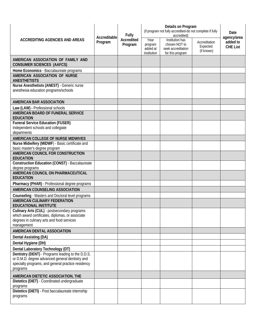|                                                                                                | Accreditable | <b>Fully</b>          | (if program not fully accredited-do not complete if fully | Date                                                                                      |                                         |                                            |
|------------------------------------------------------------------------------------------------|--------------|-----------------------|-----------------------------------------------------------|-------------------------------------------------------------------------------------------|-----------------------------------------|--------------------------------------------|
| <b>ACCREDITING AGENCIES AND AREAS</b>                                                          | Program      | Accredited<br>Program | Year<br>program<br>added at<br>institution                | accredited)<br>Institution has<br>chosen NOT to<br>seek accreditation<br>for this program | Accreditation<br>Expected<br>(if known) | agency/area<br>added to<br><b>CHE List</b> |
| AMERICAN ASSOCIATION OF FAMILY AND<br><b>CONSUMER SCIENCES (AAFCS)</b>                         |              |                       |                                                           |                                                                                           |                                         |                                            |
| Home Economics - Baccalaureate programs                                                        |              |                       |                                                           |                                                                                           |                                         |                                            |
| AMERICAN ASSOCIATION OF NURSE<br><b>ANESTHETISTS</b>                                           |              |                       |                                                           |                                                                                           |                                         |                                            |
| Nurse Anesthetists (ANEST) - Generic nurse<br>anesthesia education programs/schools            |              |                       |                                                           |                                                                                           |                                         |                                            |
| AMERICAN BAR ASSOCIATION                                                                       |              |                       |                                                           |                                                                                           |                                         |                                            |
| Law (LAW) - Professional schools                                                               |              |                       |                                                           |                                                                                           |                                         |                                            |
| AMERICAN BOARD OF FUNERAL SERVICE<br><b>EDUCATION</b>                                          |              |                       |                                                           |                                                                                           |                                         |                                            |
| <b>Funeral Service Education (FUSER)</b>                                                       |              |                       |                                                           |                                                                                           |                                         |                                            |
| Independent schools and collegiate                                                             |              |                       |                                                           |                                                                                           |                                         |                                            |
| departments                                                                                    |              |                       |                                                           |                                                                                           |                                         |                                            |
| AMERICAN COLLEGE OF NURSE MIDWIVES<br>Nurse Midwifery (MIDWF) - Basic certificate and          |              |                       |                                                           |                                                                                           |                                         |                                            |
| basic master's degree program                                                                  |              |                       |                                                           |                                                                                           |                                         |                                            |
| AMERICAN COUNCIL FOR CONSTRUCTION<br><b>EDUCATION</b>                                          |              |                       |                                                           |                                                                                           |                                         |                                            |
| <b>Construction Education (CONST)</b> - Baccalaureate                                          |              |                       |                                                           |                                                                                           |                                         |                                            |
| degree programs                                                                                |              |                       |                                                           |                                                                                           |                                         |                                            |
| AMERICAN COUNCIL ON PHARMACEUTICAL<br><b>EDUCATION</b>                                         |              |                       |                                                           |                                                                                           |                                         |                                            |
| Pharmacy (PHAR) - Professional degree programs                                                 |              |                       |                                                           |                                                                                           |                                         |                                            |
| AMERICAN COUNSELING ASSOCIATION                                                                |              |                       |                                                           |                                                                                           |                                         |                                            |
| Counseling - Masters and Doctoral level programs                                               |              |                       |                                                           |                                                                                           |                                         |                                            |
| AMERICAN CULINARY FEDERATION<br><b>EDUCATIONAL INSTITUTE</b>                                   |              |                       |                                                           |                                                                                           |                                         |                                            |
| Culinary Arts (CUL) - postsecondary programs                                                   |              |                       |                                                           |                                                                                           |                                         |                                            |
| which award certificates, diplomas, or associate<br>degrees in culinary arts and food services |              |                       |                                                           |                                                                                           |                                         |                                            |
| management                                                                                     |              |                       |                                                           |                                                                                           |                                         |                                            |
| AMERICAN DENTAL ASSOCIATION                                                                    |              |                       |                                                           |                                                                                           |                                         |                                            |
| Dental Assisting (DA)                                                                          |              |                       |                                                           |                                                                                           |                                         |                                            |
| Dental Hygiene (DH)                                                                            |              |                       |                                                           |                                                                                           |                                         |                                            |
| Dental Laboratory Technology (DT)                                                              |              |                       |                                                           |                                                                                           |                                         |                                            |
| Dentistry (DENT) - Programs leading to the D.D.S.                                              |              |                       |                                                           |                                                                                           |                                         |                                            |
| or D.M.D. degree advanced general dentistry and                                                |              |                       |                                                           |                                                                                           |                                         |                                            |
| specialty programs, and general practice residency<br>programs                                 |              |                       |                                                           |                                                                                           |                                         |                                            |
|                                                                                                |              |                       |                                                           |                                                                                           |                                         |                                            |
| AMERICAN DIETETIC ASSOCIATION, THE                                                             |              |                       |                                                           |                                                                                           |                                         |                                            |
| Dietetics (DIET) - Coordinated undergraduate<br>programs                                       |              |                       |                                                           |                                                                                           |                                         |                                            |
| Dietetics (DIETI) - Post baccalaureate internship                                              |              |                       |                                                           |                                                                                           |                                         |                                            |
| programs                                                                                       |              |                       |                                                           |                                                                                           |                                         |                                            |
|                                                                                                |              |                       |                                                           |                                                                                           |                                         |                                            |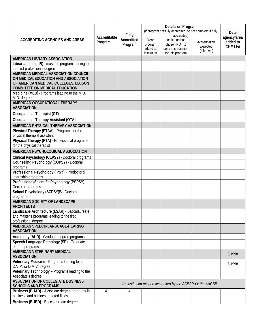|                                                                                                                                                               | Accreditable | <b>Fully</b>          |                                            | Details on Program<br>(if program not fully accredited-do not complete if fully<br>accredited) |                                         | Date                                       |
|---------------------------------------------------------------------------------------------------------------------------------------------------------------|--------------|-----------------------|--------------------------------------------|------------------------------------------------------------------------------------------------|-----------------------------------------|--------------------------------------------|
| <b>ACCREDITING AGENCIES AND AREAS</b>                                                                                                                         | Program      | Accredited<br>Program | Year<br>program<br>added at<br>institution | Institution has<br>chosen NOT to<br>seek accreditation<br>for this program                     | Accreditation<br>Expected<br>(if known) | agency/area<br>added to<br><b>CHE List</b> |
| AMERICAN LIBRARY ASSOCIATION                                                                                                                                  |              |                       |                                            |                                                                                                |                                         |                                            |
| Librarianship (LIB) - master's program leading to<br>the first professional degree                                                                            |              |                       |                                            |                                                                                                |                                         |                                            |
| AMERICAN MEDICAL ASSOCIATION COUNCIL<br>ON MEDICALEDUCATION AND ASSOCIATION<br>OF AMERICAN MEDICAL COLLEGES, LIAISON<br><b>COMMITTEE ON MEDICAL EDUCATION</b> |              |                       |                                            |                                                                                                |                                         |                                            |
| Medicine (MED) - Programs leading to the M.D.<br>M.D. degree                                                                                                  |              |                       |                                            |                                                                                                |                                         |                                            |
| AMERICAN OCCUPATIONAL THERAPY<br><b>ASSOCIATION</b>                                                                                                           |              |                       |                                            |                                                                                                |                                         |                                            |
| Occupational Therapist (OT)                                                                                                                                   |              |                       |                                            |                                                                                                |                                         |                                            |
| <b>Occupational Therapy Assistant (OTA)</b>                                                                                                                   |              |                       |                                            |                                                                                                |                                         |                                            |
| AMERICAN PHYSICAL THERAPY ASSOCIATION                                                                                                                         |              |                       |                                            |                                                                                                |                                         |                                            |
| Physical Therapy (PTAA) - Programs for the<br>physical therapist assistant                                                                                    |              |                       |                                            |                                                                                                |                                         |                                            |
| Physical Therapy (PTA) - Professional programs<br>for the physical therapist                                                                                  |              |                       |                                            |                                                                                                |                                         |                                            |
| AMERICAN PSYCHOLOGICAL ASSOCIATION                                                                                                                            |              |                       |                                            |                                                                                                |                                         |                                            |
|                                                                                                                                                               |              |                       |                                            |                                                                                                |                                         |                                            |
| Clinical Psychology (CLPSY) - Doctoral programs<br>Counseling Psychology (COPSY) - Doctoral<br>programs                                                       |              |                       |                                            |                                                                                                |                                         |                                            |
| Professional Psychology (IPSY) - Predoctoral<br>internship programs                                                                                           |              |                       |                                            |                                                                                                |                                         |                                            |
| Professional/Scientific Psychology (PSPSY) -<br>Doctoral programs                                                                                             |              |                       |                                            |                                                                                                |                                         |                                            |
| School Psychology (SCPSY)B - Doctoral<br>programs                                                                                                             |              |                       |                                            |                                                                                                |                                         |                                            |
| AMERICAN SOCIETY OF LANDSCAPE<br><b>ARCHITECTS</b>                                                                                                            |              |                       |                                            |                                                                                                |                                         |                                            |
| Landscape Architecture (LSAR) - Baccalaureate<br>and master's programs leading to the first<br>professional degree                                            |              |                       |                                            |                                                                                                |                                         |                                            |
| AMERICAN SPEECH-LANGUAGE-HEARING<br><b>ASSOCIATION</b>                                                                                                        |              |                       |                                            |                                                                                                |                                         |                                            |
| Audiology (AUD) - Graduate degree programs<br>Speech-Language Pathology (SP) - Graduate<br>degree programs                                                    |              |                       |                                            |                                                                                                |                                         |                                            |
| AMERICAN VETERINARY MEDICAL<br><b>ASSOCIATION</b>                                                                                                             |              |                       |                                            |                                                                                                |                                         | 5/1998                                     |
| Veterinary Medicine - Programs leading to a<br>D.V.M. or D.M.V. degree                                                                                        |              |                       |                                            |                                                                                                |                                         | 5/1998                                     |
| Veterinary Technology - Programs leading to the<br>Associate's degree                                                                                         |              |                       |                                            |                                                                                                |                                         |                                            |
| <b>ASSOCIATION OF COLLEGIATE BUSINESS</b><br><b>SCHOOLS AND PROGRAMS</b>                                                                                      |              |                       |                                            | An institution may be accredited by the ACBSP or the AACSB                                     |                                         |                                            |
| Business (BUAD) - Associate degree programs in<br>business and business-related fields                                                                        | 4            | 4                     |                                            |                                                                                                |                                         |                                            |
| <b>Business (BUBD)</b> - Baccalaureate degree                                                                                                                 |              |                       |                                            |                                                                                                |                                         |                                            |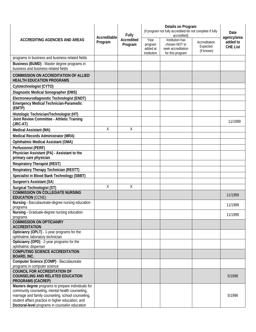|                                                                                                                                                                                                                                                                    |                         | <b>Fully</b>          |                                            | Details on Program<br>(if program not fully accredited-do not complete if fully<br>accredited) |                                         | Date                                       |
|--------------------------------------------------------------------------------------------------------------------------------------------------------------------------------------------------------------------------------------------------------------------|-------------------------|-----------------------|--------------------------------------------|------------------------------------------------------------------------------------------------|-----------------------------------------|--------------------------------------------|
| <b>ACCREDITING AGENCIES AND AREAS</b>                                                                                                                                                                                                                              | Accreditable<br>Program | Accredited<br>Program | Year<br>program<br>added at<br>institution | Institution has<br>chosen NOT to<br>seek accreditation<br>for this program                     | Accreditation<br>Expected<br>(if known) | agency/area<br>added to<br><b>CHE List</b> |
| programs in business and business-related fields                                                                                                                                                                                                                   |                         |                       |                                            |                                                                                                |                                         |                                            |
| Business (BUMD) - Master degree programs in<br>business and business-related fields                                                                                                                                                                                |                         |                       |                                            |                                                                                                |                                         |                                            |
| <b>COMMISSION ON ACCREDITATION OF ALLIED</b><br><b>HEALTH EDUCATION PROGRAMS</b>                                                                                                                                                                                   |                         |                       |                                            |                                                                                                |                                         |                                            |
| Cytotechnologist (CYTO)                                                                                                                                                                                                                                            |                         |                       |                                            |                                                                                                |                                         |                                            |
| Diagnostic Medical Sonographer (DMS)                                                                                                                                                                                                                               |                         |                       |                                            |                                                                                                |                                         |                                            |
| Electroneurodiagnostic Technologist (ENDT)<br><b>Emergency Medical Technician-Paramedic</b><br>(EMTP)                                                                                                                                                              |                         |                       |                                            |                                                                                                |                                         |                                            |
| Histologic Technician/Technologist (HT)                                                                                                                                                                                                                            |                         |                       |                                            |                                                                                                |                                         |                                            |
| Joint Review Committee - Athletic Training<br>$(JRC-AT)$                                                                                                                                                                                                           |                         |                       |                                            |                                                                                                |                                         | 11/1999                                    |
| <b>Medical Assistant (MA)</b>                                                                                                                                                                                                                                      | Χ                       | $\mathsf X$           |                                            |                                                                                                |                                         |                                            |
| Medical Records Administrator (MRA)                                                                                                                                                                                                                                |                         |                       |                                            |                                                                                                |                                         |                                            |
| <b>Ophthalmic Medical Assistant (OMA)</b>                                                                                                                                                                                                                          |                         |                       |                                            |                                                                                                |                                         |                                            |
| Perfusionist (PERF)                                                                                                                                                                                                                                                |                         |                       |                                            |                                                                                                |                                         |                                            |
| Physician Assistant (PA) - Assistant to the<br>primary care physician                                                                                                                                                                                              |                         |                       |                                            |                                                                                                |                                         |                                            |
| <b>Respiratory Therapist (REST)</b>                                                                                                                                                                                                                                |                         |                       |                                            |                                                                                                |                                         |                                            |
| Respiratory Therapy Technician (RESTT)                                                                                                                                                                                                                             |                         |                       |                                            |                                                                                                |                                         |                                            |
| Specialist in Blood Bank Technology (SBBT)                                                                                                                                                                                                                         |                         |                       |                                            |                                                                                                |                                         |                                            |
| Surgeon's Assistant (SA)                                                                                                                                                                                                                                           |                         |                       |                                            |                                                                                                |                                         |                                            |
| Surgical Technologist (ST)                                                                                                                                                                                                                                         | Χ                       | X                     |                                            |                                                                                                |                                         |                                            |
| <b>COMMISSION ON COLLEGIATE NURSING</b><br><b>EDUCATION (CCNE)</b>                                                                                                                                                                                                 |                         |                       |                                            |                                                                                                |                                         | 11/1999                                    |
| Nursing - Baccalaureate-degree nursing education<br>programs                                                                                                                                                                                                       |                         |                       |                                            |                                                                                                |                                         | 11/1999                                    |
| Nursing - Graduate-degree nursing education<br>programs                                                                                                                                                                                                            |                         |                       |                                            |                                                                                                |                                         | 11/1999                                    |
| <b>COMMISSION ON OPTICIANRY</b><br><b>ACCREDITATION</b>                                                                                                                                                                                                            |                         |                       |                                            |                                                                                                |                                         |                                            |
| Opticianry (OPLT) - 1-year programs for the<br>ophthalmic laboratory technician                                                                                                                                                                                    |                         |                       |                                            |                                                                                                |                                         |                                            |
| Opticianry (OPD) - 2-year programs for the<br>ophthalmic dispenser                                                                                                                                                                                                 |                         |                       |                                            |                                                                                                |                                         |                                            |
| <b>COMPUTING SCIENCE ACCREDITATION</b><br><b>BOARD, INC.</b>                                                                                                                                                                                                       |                         |                       |                                            |                                                                                                |                                         |                                            |
| Computer Science (COMP) - Baccalaureate<br>programs in computer science                                                                                                                                                                                            |                         |                       |                                            |                                                                                                |                                         |                                            |
| <b>COUNCIL FOR ACCREDITATION OF</b><br>COUNSELING AND RELATED EDUCATION<br><b>PROGRAMS (CACREP)</b>                                                                                                                                                                |                         |                       |                                            |                                                                                                |                                         | 5/1998                                     |
| Masters degree programs to prepare individuals for<br>community counseling, mental health counseling,<br>marriage and family counseling, school counseling,<br>student affairs practice in higher education, and<br>Doctoral-level programs in counselor education |                         |                       |                                            |                                                                                                |                                         | 5/1998                                     |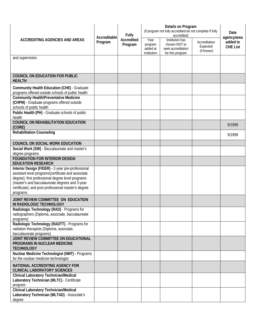|                                                                                                                                                                                                                                                                                   |                         | Fully                 |                                            | Details on Program<br>(if program not fully accredited-do not complete if fully<br>accredited) |                                         | Date                                       |
|-----------------------------------------------------------------------------------------------------------------------------------------------------------------------------------------------------------------------------------------------------------------------------------|-------------------------|-----------------------|--------------------------------------------|------------------------------------------------------------------------------------------------|-----------------------------------------|--------------------------------------------|
| <b>ACCREDITING AGENCIES AND AREAS</b>                                                                                                                                                                                                                                             | Accreditable<br>Program | Accredited<br>Program | Year<br>program<br>added at<br>institution | Institution has<br>chosen NOT to<br>seek accreditation<br>for this program                     | Accreditation<br>Expected<br>(if known) | agency/area<br>added to<br><b>CHE List</b> |
| and supervision.                                                                                                                                                                                                                                                                  |                         |                       |                                            |                                                                                                |                                         |                                            |
| <b>COUNCIL ON EDUCATION FOR PUBLIC</b><br><b>HEALTH</b>                                                                                                                                                                                                                           |                         |                       |                                            |                                                                                                |                                         |                                            |
| <b>Community Health Education (CHE) - Graduate</b><br>programs offered outside schools of public health                                                                                                                                                                           |                         |                       |                                            |                                                                                                |                                         |                                            |
| <b>Community Health/Preventative Medicine</b><br>(CHPM) - Graduate programs offered outside<br>schools of public health                                                                                                                                                           |                         |                       |                                            |                                                                                                |                                         |                                            |
| Public Health (PH) - Graduate schools of public<br>health                                                                                                                                                                                                                         |                         |                       |                                            |                                                                                                |                                         |                                            |
| <b>COUNCIL ON REHABILITATION EDUCATION</b><br>(CORE)                                                                                                                                                                                                                              |                         |                       |                                            |                                                                                                |                                         | 9/1999                                     |
| <b>Rehabilitation Counseling</b>                                                                                                                                                                                                                                                  |                         |                       |                                            |                                                                                                |                                         | 9/1999                                     |
| COUNCIL ON SOCIAL WORK EDUCATION                                                                                                                                                                                                                                                  |                         |                       |                                            |                                                                                                |                                         |                                            |
| Social Work (SW) - Baccalaureate and master's<br>degree programs                                                                                                                                                                                                                  |                         |                       |                                            |                                                                                                |                                         |                                            |
| <b>FOUNDATION FOR INTERIOR DESIGN</b><br><b>EDUCATION RESEARCH</b>                                                                                                                                                                                                                |                         |                       |                                            |                                                                                                |                                         |                                            |
| Interior Design (FIDER) - 2-year pre-professional<br>assistant level programs(certificate and associate<br>degree); first professional degree level programs<br>(master's and baccalaureate degrees and 3-year<br>certificate); and post professional master's degree<br>programs |                         |                       |                                            |                                                                                                |                                         |                                            |
| JOINT REVIEW COMMITTEE ON EDUCATION<br>IN RADIOLOGIC TECHNOLOGY                                                                                                                                                                                                                   |                         |                       |                                            |                                                                                                |                                         |                                            |
| Radiologic Technology (RAD) - Programs for<br>radiographers (Diploma, associate, baccalaureate<br>programs)                                                                                                                                                                       |                         |                       |                                            |                                                                                                |                                         |                                            |
| Radiologic Technology (RADTT) - Programs for<br>radiation therapists (Diploma, associate,<br>baccalaureate programs)                                                                                                                                                              |                         |                       |                                            |                                                                                                |                                         |                                            |
| JOINT REVIEW COMMITTEE ON EDUCATIONAL<br>PROGRAMS IN NUCLEAR MEDICINE<br><b>TECHNOLOGY</b>                                                                                                                                                                                        |                         |                       |                                            |                                                                                                |                                         |                                            |
| Nuclear Medicine Technologist (NMT) - Programs<br>for the nuclear medicine technologist                                                                                                                                                                                           |                         |                       |                                            |                                                                                                |                                         |                                            |
| NATIONAL ACCREDITING AGENCY FOR<br><b>CLINICAL LABORATORY SCIENCES</b>                                                                                                                                                                                                            |                         |                       |                                            |                                                                                                |                                         |                                            |
| <b>Clinical Laboratory Technician/Medical</b><br>Laboratory Technician (MLTC) - Certificate<br>program                                                                                                                                                                            |                         |                       |                                            |                                                                                                |                                         |                                            |
| <b>Clinical Laboratory Technician/Medical</b><br>Laboratory Technician (MLTAD) - Associate's<br>degree                                                                                                                                                                            |                         |                       |                                            |                                                                                                |                                         |                                            |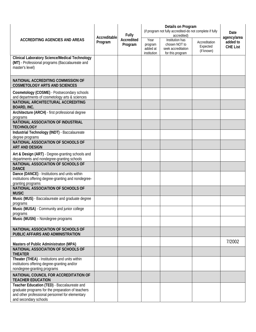|                                                                                                                                                                              |                         | Fully                 |                                            | Details on Program<br>(if program not fully accredited-do not complete if fully<br>accredited) |                                         | Date                                       |
|------------------------------------------------------------------------------------------------------------------------------------------------------------------------------|-------------------------|-----------------------|--------------------------------------------|------------------------------------------------------------------------------------------------|-----------------------------------------|--------------------------------------------|
| <b>ACCREDITING AGENCIES AND AREAS</b>                                                                                                                                        | Accreditable<br>Program | Accredited<br>Program | Year<br>program<br>added at<br>institution | Institution has<br>chosen NOT to<br>seek accreditation<br>for this program                     | Accreditation<br>Expected<br>(if known) | agency/area<br>added to<br><b>CHE List</b> |
| <b>Clinical Laboratory Science/Medical Technology</b><br>(MT) - Professional programs (Baccalaureate and<br>master's level)                                                  |                         |                       |                                            |                                                                                                |                                         |                                            |
| NATIONAL ACCREDITING COMMISSION OF<br><b>COSMETOLOGY ARTS AND SCIENCES</b>                                                                                                   |                         |                       |                                            |                                                                                                |                                         |                                            |
| Cosmetology (COSME) - Postsecondary schools<br>and departments of cosmetology arts & sciences<br>NATIONAL ARCHITECTURAL ACCREDITING<br><b>BOARD, INC.</b>                    |                         |                       |                                            |                                                                                                |                                         |                                            |
| Architecture (ARCH) - first professional degree<br>programs                                                                                                                  |                         |                       |                                            |                                                                                                |                                         |                                            |
| <b>NATIONAL ASSOCIATION OF INDUSTRIAL</b><br><b>TECHNOLOGY</b>                                                                                                               |                         |                       |                                            |                                                                                                |                                         |                                            |
| Industrial Technology (INDT) - Baccalaureate<br>degree programs<br>NATIONAL ASSOCIATION OF SCHOOLS OF<br><b>ART AND DESIGN</b>                                               |                         |                       |                                            |                                                                                                |                                         |                                            |
| Art & Design (ART) - Degree-granting schools and<br>departments and nondegree-granting schools                                                                               |                         |                       |                                            |                                                                                                |                                         |                                            |
| NATIONAL ASSOCIATION OF SCHOOLS OF<br><b>DANCE</b>                                                                                                                           |                         |                       |                                            |                                                                                                |                                         |                                            |
| Dance (DANCE) - Institutions and units within<br>institutions offering degree-granting and nondegree-<br>granting programs                                                   |                         |                       |                                            |                                                                                                |                                         |                                            |
| NATIONAL ASSOCIATION OF SCHOOLS OF<br><b>MUSIC</b>                                                                                                                           |                         |                       |                                            |                                                                                                |                                         |                                            |
| Music (MUS) - Baccalaureate and graduate degree<br>programs                                                                                                                  |                         |                       |                                            |                                                                                                |                                         |                                            |
| Music (MUSA) - Community and junior college<br>programs                                                                                                                      |                         |                       |                                            |                                                                                                |                                         |                                            |
| Music (MUSN) - Nondegree programs                                                                                                                                            |                         |                       |                                            |                                                                                                |                                         |                                            |
| NATIONAL ASSOCIATION OF SCHOOLS OF<br>PUBLIC AFFAIRS AND ADMINISTRATION                                                                                                      |                         |                       |                                            |                                                                                                |                                         |                                            |
| Masters of Public Administraton (MPA)<br>NATIONAL ASSOCIATION OF SCHOOLS OF                                                                                                  |                         |                       |                                            |                                                                                                |                                         | 7/2002                                     |
| <b>THEATER</b><br>Theater (THEA) - Institutions and units within                                                                                                             |                         |                       |                                            |                                                                                                |                                         |                                            |
| institutions offering degree-granting and/or<br>nondegree-granting programs                                                                                                  |                         |                       |                                            |                                                                                                |                                         |                                            |
| NATIONAL COUNCIL FOR ACCREDITATION OF<br><b>TEACHER EDUCATION</b>                                                                                                            |                         |                       |                                            |                                                                                                |                                         |                                            |
| Teacher Education (TED) - Baccalaureate and<br>graduate programs for the preparation of teachers<br>and other professional personnel for elementary<br>and secondary schools |                         |                       |                                            |                                                                                                |                                         |                                            |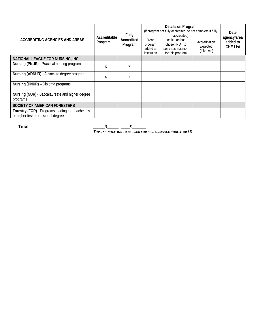| ACCREDITING AGENCIES AND AREAS                                                           | Accreditable | Fully                 | (if program not fully accredited-do not complete if fully | Date<br>agency/area                                                        |                                         |                             |
|------------------------------------------------------------------------------------------|--------------|-----------------------|-----------------------------------------------------------|----------------------------------------------------------------------------|-----------------------------------------|-----------------------------|
|                                                                                          | Program      | Accredited<br>Program | Year<br>program<br>added at<br><i>institution</i>         | Institution has<br>chosen NOT to<br>seek accreditation<br>for this program | Accreditation<br>Expected<br>(if known) | added to<br><b>CHE List</b> |
| NATIONAL LEAGUE FOR NURSING, INC                                                         |              |                       |                                                           |                                                                            |                                         |                             |
| Nursing (PNUR) - Practical nursing programs                                              | X            | X                     |                                                           |                                                                            |                                         |                             |
| Nursing (ADNUR) - Associate degree programs                                              | X            | X                     |                                                           |                                                                            |                                         |                             |
| Nursing (DNUR) - Diploma programs                                                        |              |                       |                                                           |                                                                            |                                         |                             |
| Nursing (NUR) - Baccalaureate and higher degree<br>programs                              |              |                       |                                                           |                                                                            |                                         |                             |
| SOCIETY OF AMERICAN FORESTERS                                                            |              |                       |                                                           |                                                                            |                                         |                             |
| Forestry (FOR) - Programs leading to a bachelor's<br>or higher first professional degree |              |                       |                                                           |                                                                            |                                         |                             |

**Total** \_\_\_\_\_9\_\_\_\_\_ \_\_\_\_9\_\_\_\_\_\_

*THIS INFORMATION TO BE USED FOR PERFORMANCE INDICATOR 3D*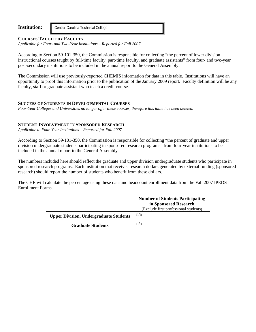**Institution:** | Central Carolina Technical College

#### **COURSES TAUGHT BY FACULTY**

*Applicable for Four- and Two-Year Institutions – Reported for Fall 2007* 

According to Section 59-101-350, the Commission is responsible for collecting "the percent of lower division instructional courses taught by full-time faculty, part-time faculty, and graduate assistants" from four- and two-year post-secondary institutions to be included in the annual report to the General Assembly.

The Commission will use previously-reported CHEMIS information for data in this table. Institutions will have an opportunity to proof this information prior to the publication of the January 2009 report. Faculty definition will be any faculty, staff or graduate assistant who teach a credit course.

#### **SUCCESS OF STUDENTS IN DEVELOPMENTAL COURSES**

*Four-Year Colleges and Universities no longer offer these courses, therefore this table has been deleted.* 

#### **STUDENT INVOLVEMENT IN SPONSORED RESEARCH**

*Applicable to Four-Year Institutions – Reported for Fall 2007* 

According to Section 59-101-350, the Commission is responsible for collecting "the percent of graduate and upper division undergraduate students participating in sponsored research programs" from four-year institutions to be included in the annual report to the General Assembly.

The numbers included here should reflect the graduate and upper division undergraduate students who participate in sponsored research programs. Each institution that receives research dollars generated by external funding (sponsored research) should report the number of students who benefit from these dollars.

The CHE will calculate the percentage using these data and headcount enrollment data from the Fall 2007 IPEDS Enrollment Forms.

|                                               | <b>Number of Students Participating</b> |
|-----------------------------------------------|-----------------------------------------|
|                                               | in Sponsored Research                   |
|                                               | (Exclude first professional students)   |
| <b>Upper Division, Undergraduate Students</b> | n/a                                     |
| <b>Graduate Students</b>                      | n/a                                     |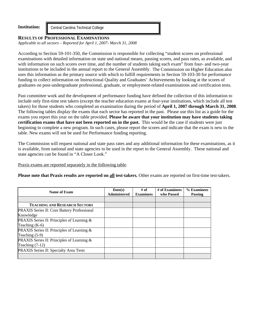**Institution:** | Central Carolina Technical College

#### **RESULTS OF PROFESSIONAL EXAMINATIONS**

*Applicable to all sectors – Reported for April 1, 2007- March 31, 2008* 

According to Section 59-101-350, the Commission is responsible for collecting "student scores on professional examinations with detailed information on state and national means, passing scores, and pass rates, as available, and with information on such scores over time, and the number of students taking each exam" from four- and two-year institutions to be included in the annual report to the General Assembly. The Commission on Higher Education also uses this information as the primary source with which to fulfill requirements in Section 59-103-30 for performance funding to collect information on Instructional Quality and Graduates' Achievements by looking at the scores of graduates on post-undergraduate professional, graduate, or employment-related examinations and certification tests.

Past committee work and the development of performance funding have defined the collection of this information to include only first-time test takers (except the teacher education exams at four-year institutions, which include all test takers) for those students who completed an examination during the period of **April 1, 2007 through March 31, 2008**. The following tables display the exams that each sector has reported in the past. Please use this list as a guide for the exams you report this year on the table provided. **Please be aware that your institution may have students taking certification exams that have not been reported on in the past.** This would be the case if students were just beginning to complete a new program. In such cases, please report the scores and indicate that the exam is new to the table. New exams will not be used for Performance funding reporting.

The Commission will request national and state pass rates and any additional information for these examinations, as it is available, from national and state agencies to be used in the report to the General Assembly. These national and state agencies can be found in "A Closer Look."

Praxis exams are reported separately in the following table.

**Please note that Praxis results are reported on all test-takers.** Other exams are reported on first-time test-takers.

| Name of Exam                                | Date(s)<br><b>Administered</b> | $#$ of<br><b>Examinees</b> | # of Examinees<br>who Passed | % Examinees<br>Passing |
|---------------------------------------------|--------------------------------|----------------------------|------------------------------|------------------------|
|                                             |                                |                            |                              |                        |
| <b>TEACHING AND RESEARCH SECTORS</b>        |                                |                            |                              |                        |
| PRAXIS Series II: Core Battery Professional |                                |                            |                              |                        |
| Knowledge                                   |                                |                            |                              |                        |
| PRAXIS Series II: Principles of Learning &  |                                |                            |                              |                        |
| Teaching $(K-6)$                            |                                |                            |                              |                        |
| PRAXIS Series II: Principles of Learning &  |                                |                            |                              |                        |
| Teaching $(5-9)$                            |                                |                            |                              |                        |
| PRAXIS Series II: Principles of Learning &  |                                |                            |                              |                        |
| Teaching $(7-12)$                           |                                |                            |                              |                        |
| PRAXIS Series II: Specialty Area Tests      |                                |                            |                              |                        |
|                                             |                                |                            |                              |                        |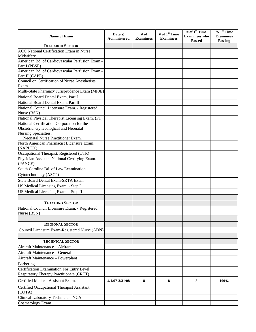| <b>Name of Exam</b>                                                                                                                              | Date(s)<br>Administered | # of<br><b>Examinees</b> | # of 1 <sup>st</sup> Time<br><b>Examinees</b> | # of $1st$ Time<br><b>Examinees</b> who<br><b>Passed</b> | $% 1st$ Time<br><b>Examinees</b><br>Passing |
|--------------------------------------------------------------------------------------------------------------------------------------------------|-------------------------|--------------------------|-----------------------------------------------|----------------------------------------------------------|---------------------------------------------|
| <b>RESEARCH SECTOR</b>                                                                                                                           |                         |                          |                                               |                                                          |                                             |
| <b>ACC National Certification Exam in Nurse</b><br>Midwifery                                                                                     |                         |                          |                                               |                                                          |                                             |
| American Bd. of Cardiovascular Perfusion Exam -<br>Part I (PBSE)                                                                                 |                         |                          |                                               |                                                          |                                             |
| American Bd. of Cardiovascular Perfusion Exam -<br>Part II (CAPE)                                                                                |                         |                          |                                               |                                                          |                                             |
| Council on Certification of Nurse Anesthetists<br>Exam.                                                                                          |                         |                          |                                               |                                                          |                                             |
| Multi-State Pharmacy Jurisprudence Exam (MPJE)                                                                                                   |                         |                          |                                               |                                                          |                                             |
| National Board Dental Exam, Part I                                                                                                               |                         |                          |                                               |                                                          |                                             |
| National Board Dental Exam, Part II                                                                                                              |                         |                          |                                               |                                                          |                                             |
| National Council Licensure Exam. - Registered                                                                                                    |                         |                          |                                               |                                                          |                                             |
| Nurse (BSN)                                                                                                                                      |                         |                          |                                               |                                                          |                                             |
| National Physical Therapist Licensing Exam. (PT)                                                                                                 |                         |                          |                                               |                                                          |                                             |
| National Certification Corporation for the<br>Obstetric, Gynecological and Neonatal<br>Nursing Specialties:<br>Neonatal Nurse Practitioner Exam. |                         |                          |                                               |                                                          |                                             |
| North American Pharmacist Licensure Exam.<br>(NAPLEX)                                                                                            |                         |                          |                                               |                                                          |                                             |
| Occupational Therapist, Registered (OTR)                                                                                                         |                         |                          |                                               |                                                          |                                             |
| Physician Assistant National Certifying Exam.<br>(PANCE)                                                                                         |                         |                          |                                               |                                                          |                                             |
| South Carolina Bd. of Law Examination                                                                                                            |                         |                          |                                               |                                                          |                                             |
| Cytotechnology (ASCP)                                                                                                                            |                         |                          |                                               |                                                          |                                             |
| State Board Dental Exam-SRTA Exam.                                                                                                               |                         |                          |                                               |                                                          |                                             |
| US Medical Licensing Exam. - Step I                                                                                                              |                         |                          |                                               |                                                          |                                             |
| US Medical Licensing Exam. - Step II                                                                                                             |                         |                          |                                               |                                                          |                                             |
|                                                                                                                                                  |                         |                          |                                               |                                                          |                                             |
| <b>TEACHING SECTOR</b>                                                                                                                           |                         |                          |                                               |                                                          |                                             |
| National Council Licensure Exam. - Registered<br>Nurse (BSN)                                                                                     |                         |                          |                                               |                                                          |                                             |
|                                                                                                                                                  |                         |                          |                                               |                                                          |                                             |
| <b>REGIONAL SECTOR</b>                                                                                                                           |                         |                          |                                               |                                                          |                                             |
| Council Licensure Exam-Registered Nurse (ADN)                                                                                                    |                         |                          |                                               |                                                          |                                             |
| <b>TECHNICAL SECTOR</b>                                                                                                                          |                         |                          |                                               |                                                          |                                             |
| Aircraft Maintenance - Airframe                                                                                                                  |                         |                          |                                               |                                                          |                                             |
| Aircraft Maintenance - General                                                                                                                   |                         |                          |                                               |                                                          |                                             |
| Aircraft Maintenance - Powerplant                                                                                                                |                         |                          |                                               |                                                          |                                             |
| Barbering                                                                                                                                        |                         |                          |                                               |                                                          |                                             |
| Certification Examination For Entry Level<br>Respiratory Therapy Practitioners (CRTT)                                                            |                         |                          |                                               |                                                          |                                             |
| Certified Medical Assistant Exam.                                                                                                                | $4/1/07 - 3/31/08$      | 8                        | 8                                             | 8                                                        | 100%                                        |
| Certified Occupational Therapist Assistant<br>(COTA)                                                                                             |                         |                          |                                               |                                                          |                                             |
| Clinical Laboratory Technician, NCA                                                                                                              |                         |                          |                                               |                                                          |                                             |
| <b>Cosmetology Exam</b>                                                                                                                          |                         |                          |                                               |                                                          |                                             |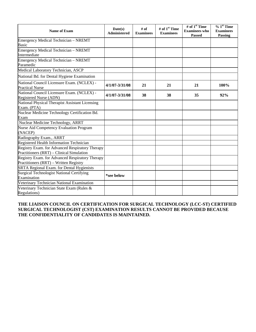| <b>Name of Exam</b>                                                                          | Date(s)<br><b>Administered</b> | # of<br><b>Examinees</b> | # of $1st$ Time<br><b>Examinees</b> | # of $1st$ Time<br><b>Examinees</b> who<br><b>Passed</b> | $%1st$ Time<br><b>Examinees</b><br>Passing |
|----------------------------------------------------------------------------------------------|--------------------------------|--------------------------|-------------------------------------|----------------------------------------------------------|--------------------------------------------|
| Emergency Medical Technician - NREMT<br><b>Basic</b>                                         |                                |                          |                                     |                                                          |                                            |
| Emergency Medical Technician - NREMT<br>Intermediate                                         |                                |                          |                                     |                                                          |                                            |
| Emergency Medical Technician - NREMT<br>Paramedic                                            |                                |                          |                                     |                                                          |                                            |
| Medical Laboratory Technician, ASCP                                                          |                                |                          |                                     |                                                          |                                            |
| National Bd. for Dental Hygiene Examination                                                  |                                |                          |                                     |                                                          |                                            |
| National Council Licensure Exam. (NCLEX) -<br><b>Practical Nurse</b>                         | 4/1/07-3/31/08                 | 21                       | 21                                  | 21                                                       | 100%                                       |
| National Council Licensure Exam. (NCLEX) -<br>Registered Nurse (ADN)                         | $4/1/07 - 3/31/08$             | 38                       | 38                                  | 35                                                       | 92%                                        |
| National Physical Therapist Assistant Licensing<br>Exam. (PTA)                               |                                |                          |                                     |                                                          |                                            |
| Nuclear Medicine Technology Certification Bd.<br>Exam                                        |                                |                          |                                     |                                                          |                                            |
| Nuclear Medicine Technology, ARRT                                                            |                                |                          |                                     |                                                          |                                            |
| Nurse Aid Competency Evaluation Program<br>(NACEP)                                           |                                |                          |                                     |                                                          |                                            |
| Radiography Exam., ARRT                                                                      |                                |                          |                                     |                                                          |                                            |
| Registered Health Information Technician                                                     |                                |                          |                                     |                                                          |                                            |
| Registry Exam. for Advanced Respiratory Therapy<br>Practitioners (RRT) – Clinical Simulation |                                |                          |                                     |                                                          |                                            |
| Registry Exam. for Advanced Respiratory Therapy<br>Practitioners (RRT) - Written Registry    |                                |                          |                                     |                                                          |                                            |
| <b>SRTA Regional Exam. for Dental Hygienists</b>                                             |                                |                          |                                     |                                                          |                                            |
| Surgical Technologist National Certifying<br>Examination                                     | *see below                     |                          |                                     |                                                          |                                            |
| Veterinary Technician National Examination                                                   |                                |                          |                                     |                                                          |                                            |
| Veterinary Technician State Exam (Rules &                                                    |                                |                          |                                     |                                                          |                                            |
| Regulations)                                                                                 |                                |                          |                                     |                                                          |                                            |

**THE LIAISON COUNCIL ON CERTIFICATION FOR SURGICAL TECHNOLOGY (LCC-ST) CERTIFIED SURGICAL TECHNOLOGIST (CST) EXAMINATION RESULTS CANNOT BE PROVIDED BECAUSE THE CONFIDENTIALITY OF CANDIDATES IS MAINTAINED.**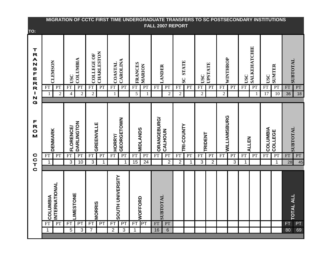| TO:                                 | MIGRATION OF CCTC FIRST TIME UNDERGRADUATE TRANSFERS TO SC POSTSECONDARY INSTITUTIONS |                |                              |                                               |                                           |                         |                                     |                |                                        |                          | FALL 2007 REPORT           |                      |                                                   |    |                             |                |                                  |    |                  |                    |                 |                           |                             |               |
|-------------------------------------|---------------------------------------------------------------------------------------|----------------|------------------------------|-----------------------------------------------|-------------------------------------------|-------------------------|-------------------------------------|----------------|----------------------------------------|--------------------------|----------------------------|----------------------|---------------------------------------------------|----|-----------------------------|----------------|----------------------------------|----|------------------|--------------------|-----------------|---------------------------|-----------------------------|---------------|
| <b>TRANSFER</b><br>R<br>L<br>N<br>G | <b>CLEMSON</b><br>PT<br><b>FT</b><br>1                                                | $\overline{2}$ | USC<br><b>FT</b><br>4        | COLUMBIA<br>$\overline{PT}$<br>$\overline{2}$ | <b>COLLEGE OF</b><br>FT<br>$\overline{c}$ | <b>CHARLESTON</b><br>PT | COASTAL<br>FT<br>$\mathbf{1}$       | CAROLINA<br>PT | FRANCES<br><b>FT</b><br>$\overline{5}$ | <b>MARION</b><br>PT<br>1 | <b>LANDER</b><br><b>FT</b> | PT<br>$\overline{c}$ | <b>STATE</b><br>SC<br><b>FT</b><br>$\overline{c}$ | PT | USC<br>FT<br>$\overline{2}$ | UPSTATE<br>PT  | WINTHROP<br>FT<br>$\overline{2}$ | PT | USC<br><b>FT</b> | SALKEHATCHIE<br>PT | USC<br>FT<br>17 | <b>SUMTER</b><br>PT<br>10 | SUBTOTAL<br><b>FT</b><br>36 | PT<br>18      |
| FRO<br>M                            | <b>DENMARK</b>                                                                        |                | FLORENCE                     | DARLINGTON                                    | GREENVILLE                                |                         | <b>HORRY/</b>                       | GEORGETOWN     | MIDLANDS                               |                          | <b>ORANGEBURG/</b>         | CALHOUN              | TRI-COUNTY                                        |    | TRIDENT                     |                | <b>WILLIAMSBURG</b>              |    | <b>ALLEN</b>     |                    | COLUMBIA        | COLLEGE                   | SUBTOTAL                    |               |
|                                     | FT<br>PT                                                                              |                | FT                           | PT                                            | FT                                        | PT                      | <b>FT</b>                           | PT             | FT                                     | PT                       | FT                         | PT                   | FT                                                | PT | FT                          | PT             | FT                               | PT | FT               | PT                 | FT              | PT                        | <b>FT</b>                   | $\mathbf{PT}$ |
| <b>CCTC</b>                         | $\mathbf{1}$                                                                          |                | $\mathbf{3}$                 | 10                                            | 3                                         | $\mathbf 1$             |                                     | 1              | 15                                     | 24                       |                            | $\overline{2}$       | $\overline{2}$                                    | 1  | 3                           | $\overline{c}$ |                                  | 3  | 1                |                    |                 | 1                         | 28                          | 45            |
|                                     | NATIONAL<br>MBIA<br><b>INTERI</b><br>COLUI                                            |                | <b>TONE</b><br>က္ယ<br>M<br>∃ |                                               | $\boldsymbol{\omega}$<br><b>MORRI</b>     |                         | <b>I UNIVERSITY</b><br><b>SOUTH</b> |                | ORD<br><b>LEF</b><br>Š                 |                          | <b>JAT</b><br><b>SUBT</b>  |                      |                                                   |    |                             |                |                                  |    |                  |                    |                 |                           | ALL<br>⋖<br><u>0</u>        |               |
|                                     | PT<br>FT<br>$\mathbf 1$                                                               |                | FT<br>$5\overline{)}$        | PT<br>3                                       | FT<br>7                                   | PT                      | <b>FT</b><br>$\overline{2}$         | <b>PT</b><br>3 | <b>FT</b><br>1                         | PT                       | <b>FT</b><br>16            | PT<br>6              |                                                   |    |                             |                |                                  |    |                  |                    |                 |                           | FT<br>80                    | PT<br>69      |
|                                     |                                                                                       |                |                              |                                               |                                           |                         |                                     |                |                                        |                          |                            |                      |                                                   |    |                             |                |                                  |    |                  |                    |                 |                           |                             |               |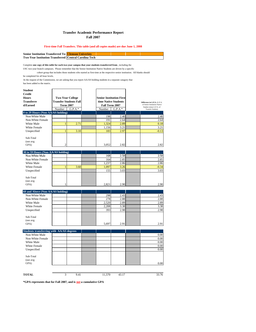#### **First-time Fall Transfers. This table (and all copies made) are due June 1, 2008**

| <b>Senior Institution Transferred To: Clemson Univeristy</b> |  |  |  |
|--------------------------------------------------------------|--|--|--|
| Two-Year Institution Transferred 1 Central Carolina Tech     |  |  |  |

#### Complete **one copy of this table for each two-year campus that your students transferred from** , including the

USC two-year branch campuses. Please remember that the Senior Institution Native Students are driven by a specific

cohort group that includes those students who started as first-time at the respective senior institution. All blanks should be completed for all hour levels.

At the request of the Commission, we are asking that you report AA/AS holding students in a separate catagory that has been added to the matrix.

| <b>Student</b>                                  |                         |                               |  |                |                                 |                                              |  |  |                      |                              |
|-------------------------------------------------|-------------------------|-------------------------------|--|----------------|---------------------------------|----------------------------------------------|--|--|----------------------|------------------------------|
| <b>Credit</b>                                   |                         |                               |  |                |                                 |                                              |  |  |                      |                              |
| <b>Hours</b>                                    | <b>Two-Year College</b> |                               |  |                | <b>Senior Institution First</b> |                                              |  |  |                      |                              |
| <b>Transferre</b>                               |                         | <b>Transfer Students Fall</b> |  |                |                                 |                                              |  |  | time Native Students | Difference in G.P.A. (G.P.A. |
| d/Earned                                        | <b>Term 2007</b>        |                               |  | Fall Term 2007 |                                 | of Senior Institution Native                 |  |  |                      |                              |
|                                                 | Number                  | $G.P.A.*$                     |  | Number         | $G.P.A.*$                       | Student minus G.P.A. of<br>Transfer Student) |  |  |                      |                              |
| 0 to 29 Hours (Non-AA/AS holding)               |                         |                               |  |                |                                 |                                              |  |  |                      |                              |
| Non-White Male                                  |                         |                               |  | 198            | 2.40                            | 2.40                                         |  |  |                      |                              |
| Non-White Female                                |                         |                               |  | 191            | 2.64                            | 2.64                                         |  |  |                      |                              |
| White Male                                      |                         | 2.71                          |  | 1,324          | 2.89                            | 0.18                                         |  |  |                      |                              |
| <b>White Female</b>                             |                         |                               |  | 1,156          | 3.21                            | 3.21                                         |  |  |                      |                              |
| Unspecified                                     | 1                       | 3.10                          |  | 183            | 2.97                            | $-0.13$                                      |  |  |                      |                              |
| Sub-Total                                       |                         |                               |  |                |                                 |                                              |  |  |                      |                              |
| (use avg                                        |                         |                               |  |                |                                 |                                              |  |  |                      |                              |
| GPA)                                            | $\overline{c}$          |                               |  | 3,052          | 2.82                            | 2.82                                         |  |  |                      |                              |
|                                                 |                         |                               |  |                |                                 |                                              |  |  |                      |                              |
| 30 to 59 Hours (Non-AA/AS holding)              |                         |                               |  |                |                                 |                                              |  |  |                      |                              |
| Non-White Male                                  |                         |                               |  | 168            | 2.50                            | 2.50                                         |  |  |                      |                              |
| Non-White Female                                |                         |                               |  | 164            | 2.85                            | 2.85                                         |  |  |                      |                              |
| White Male                                      |                         |                               |  | 1,237          | 2.86                            | 2.86                                         |  |  |                      |                              |
| White Female                                    | 1                       | 3.60                          |  | 1,097          | 3.26                            | $-0.34$                                      |  |  |                      |                              |
| Unspecified                                     |                         |                               |  | 155            | 3.03                            | 3.03                                         |  |  |                      |                              |
|                                                 |                         |                               |  |                |                                 |                                              |  |  |                      |                              |
| Sub-Total                                       |                         |                               |  |                |                                 |                                              |  |  |                      |                              |
| (use avg                                        | 1                       |                               |  | 2,821          | 2.90                            | 2.90                                         |  |  |                      |                              |
| GPA)                                            |                         |                               |  |                |                                 |                                              |  |  |                      |                              |
| 60 and Above (Non-AA/AS holding)                |                         |                               |  |                |                                 |                                              |  |  |                      |                              |
| Non-White Male                                  |                         |                               |  | 298            | 2.43                            | 2.43                                         |  |  |                      |                              |
| Non-White Female                                |                         |                               |  | 278            | 2.88                            | 2.88                                         |  |  |                      |                              |
| White Male                                      |                         |                               |  | 2.520          | 2.89                            | 2.89                                         |  |  |                      |                              |
| <b>White Female</b>                             |                         |                               |  | 2,208          | 3.38                            | 3.38                                         |  |  |                      |                              |
| Unspecified                                     |                         |                               |  | 393            | 2.98                            | 2.98                                         |  |  |                      |                              |
|                                                 |                         |                               |  |                |                                 |                                              |  |  |                      |                              |
| Sub-Total                                       |                         |                               |  |                |                                 |                                              |  |  |                      |                              |
| (use avg                                        |                         |                               |  |                |                                 |                                              |  |  |                      |                              |
| GPA)                                            |                         |                               |  | 5,697          | 2.91                            | 2.91                                         |  |  |                      |                              |
|                                                 |                         |                               |  |                |                                 |                                              |  |  |                      |                              |
| <b>Students transferring with AA/AS degrees</b> |                         |                               |  |                |                                 |                                              |  |  |                      |                              |
| Non-White Male                                  |                         |                               |  |                |                                 | 0.00                                         |  |  |                      |                              |
| Non-White Female                                |                         |                               |  |                |                                 | 0.00                                         |  |  |                      |                              |
| White Male                                      |                         |                               |  |                |                                 | 0.00                                         |  |  |                      |                              |

| White Female          |   |      |        |       | 0.00  |
|-----------------------|---|------|--------|-------|-------|
| Unspecified           |   |      |        |       | 0.00  |
| Sub-Total<br>(use avg |   |      |        |       |       |
| GPA)                  |   |      |        |       | 0.00  |
|                       |   |      |        |       |       |
| <b>TOTAL</b>          | 2 | 9.41 | 11,570 | 43.17 | 33.76 |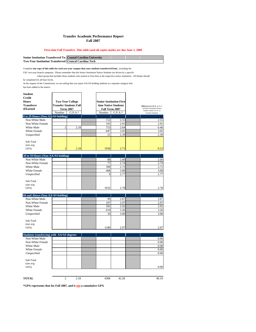#### **First-time Fall Transfers. This table (and all copies made) are due June 1, 2008**

| <b>Senior Institution Transferred To: Coastal Carolina University</b> |  |  |
|-----------------------------------------------------------------------|--|--|
| Two-Year Institution Transferred Central Carolina Tech                |  |  |

#### Complete **one copy of this table for each two-year campus that your students transferred from** , including the USC two-year branch campuses. Please remember that the Senior Institution Native Students are driven by a specific

cohort group that includes those students who started as first-time at the respective senior institution. All blanks should

be completed for all hour levels.

At the request of the Commission, we are asking that you report AA/AS holding students in a separate catagory that has been added to the matrix.

| <b>Student</b><br><b>Credit</b><br><b>Hours</b><br><b>Transferre</b><br>d/Earned | <b>Term 2007</b> | <b>Two-Year College</b><br><b>Transfer Students Fall</b> | Fall Term 2007 | <b>Senior Institution First</b><br>time Native Students | Difference in G.P.A. (G.P.A.<br>of Senior Institution Native<br>Student minus G.P.A. of |  |  |
|----------------------------------------------------------------------------------|------------------|----------------------------------------------------------|----------------|---------------------------------------------------------|-----------------------------------------------------------------------------------------|--|--|
|                                                                                  | Number           | $G.P.A.*$                                                | Number         | $G.P.A.*$                                               | Transfer Student)                                                                       |  |  |
| 0 to 29 Hours (Non-AA/AS holding)                                                |                  |                                                          |                |                                                         |                                                                                         |  |  |
| Non-White Male                                                                   |                  |                                                          | 152            | 2.55                                                    | 2.55                                                                                    |  |  |
| Non-White Female                                                                 |                  |                                                          | 163            | 2.91                                                    | 2.91                                                                                    |  |  |
| White Male                                                                       | $\overline{c}$   | 2.18                                                     | 753            | 2.64                                                    | 0.46                                                                                    |  |  |
| White Female                                                                     |                  |                                                          | 847            | 3.05<br>2.39                                            | 3.05<br>2.39                                                                            |  |  |
| Unspecified                                                                      |                  |                                                          | 21             |                                                         |                                                                                         |  |  |
| Sub-Total                                                                        |                  |                                                          |                |                                                         |                                                                                         |  |  |
| (use avg                                                                         |                  |                                                          |                |                                                         |                                                                                         |  |  |
| GPA)                                                                             | $\overline{2}$   | 2.18                                                     | 1936           | 2.71                                                    | 0.53                                                                                    |  |  |
|                                                                                  |                  |                                                          |                |                                                         |                                                                                         |  |  |
| 30 to 59 Hours (Non-AA/AS holding)                                               |                  |                                                          |                |                                                         |                                                                                         |  |  |
| Non-White Male                                                                   |                  |                                                          | 88             | 2.60                                                    | 2.60                                                                                    |  |  |
| Non-White Female                                                                 |                  |                                                          | 77             | 2.74                                                    | 2.74                                                                                    |  |  |
| White Male                                                                       |                  |                                                          | 390            | 2.72                                                    | 2.72                                                                                    |  |  |
| White Female                                                                     |                  |                                                          | 468            | 3.08                                                    | 3.08                                                                                    |  |  |
| Unspecified                                                                      |                  |                                                          | 9              | 2.77                                                    | 2.77                                                                                    |  |  |
| Sub-Total                                                                        |                  |                                                          |                |                                                         |                                                                                         |  |  |
| (use avg                                                                         |                  |                                                          |                |                                                         |                                                                                         |  |  |
| GPA)                                                                             |                  |                                                          | 1032           | 2.78                                                    | 2.78                                                                                    |  |  |
|                                                                                  |                  |                                                          |                |                                                         |                                                                                         |  |  |
| 60 and Above (Non-AA/AS holding)                                                 |                  |                                                          |                |                                                         |                                                                                         |  |  |
| Non-White Male                                                                   |                  |                                                          | 99             | 2.67                                                    | 2.67                                                                                    |  |  |
| Non-White Female                                                                 |                  |                                                          | 107            | 2.97                                                    | 2.97                                                                                    |  |  |
| White Male                                                                       |                  |                                                          | 505            | 2.92                                                    | 2.92                                                                                    |  |  |
| White Female                                                                     |                  |                                                          | 619            | 3.26                                                    | 3.26                                                                                    |  |  |
| Unspecified                                                                      |                  |                                                          | 10             | 3.00                                                    | 3.00                                                                                    |  |  |
|                                                                                  |                  |                                                          |                |                                                         |                                                                                         |  |  |
| Sub-Total                                                                        |                  |                                                          |                |                                                         |                                                                                         |  |  |
| (use avg                                                                         |                  |                                                          |                |                                                         |                                                                                         |  |  |
| GPA)                                                                             |                  |                                                          | 1340           | 2.97                                                    | 2.97                                                                                    |  |  |
|                                                                                  |                  |                                                          |                |                                                         |                                                                                         |  |  |
| Students transferring with AA/AS degrees                                         |                  |                                                          |                |                                                         |                                                                                         |  |  |
| Non-White Male                                                                   |                  |                                                          |                |                                                         | 0.00                                                                                    |  |  |
| Non-White Female                                                                 |                  |                                                          |                |                                                         | 0.00                                                                                    |  |  |
| White Male                                                                       |                  |                                                          |                |                                                         | 0.00                                                                                    |  |  |
| White Female                                                                     |                  |                                                          |                |                                                         | 0.00                                                                                    |  |  |
| Unspecified                                                                      |                  |                                                          |                |                                                         | 0.00                                                                                    |  |  |
| Sub-Total                                                                        |                  |                                                          |                |                                                         |                                                                                         |  |  |
| (use avg                                                                         |                  |                                                          |                |                                                         |                                                                                         |  |  |
| GPA)                                                                             |                  |                                                          |                |                                                         | 0.00                                                                                    |  |  |
|                                                                                  |                  |                                                          |                |                                                         |                                                                                         |  |  |
|                                                                                  |                  |                                                          |                |                                                         |                                                                                         |  |  |
| <b>TOTAL</b>                                                                     | $\overline{c}$   | 2.18                                                     | 4308           | 42.28                                                   | 40.10                                                                                   |  |  |
|                                                                                  |                  |                                                          |                |                                                         |                                                                                         |  |  |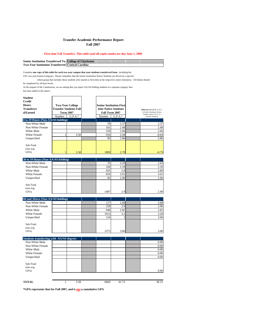**First-time Fall Transfers. This table (and all copies made) are due June 1, 2008** 

| <b>Senior Institution Transferred To: College of Charleston</b> |  |  |  |
|-----------------------------------------------------------------|--|--|--|
| Two-Year Institution Transferred lCentral Carolina              |  |  |  |

Complete **one copy of this table for each two-year campus that your students transferred from** , including the

USC two-year branch campuses. Please remember that the Senior Institution Native Students are driven by a specific

cohort group that includes those students who started as first-time at the respective senior institution. All blanks should be completed for all hour levels.

At the request of the Commission, we are asking that you report AA/AS holding students in a separate catagory that has been added to the matrix.

| <b>Student</b><br><b>Credit</b><br><b>Hours</b> | <b>Two-Year College</b>       |           |                      | <b>Senior Institution First</b> |                                                              |
|-------------------------------------------------|-------------------------------|-----------|----------------------|---------------------------------|--------------------------------------------------------------|
| <b>Transferre</b>                               | <b>Transfer Students Fall</b> |           | time Native Students |                                 |                                                              |
| d/Earned                                        | <b>Term 2007</b>              |           | Fall Term 2007       |                                 | Difference in G.P.A. (G.P.A.<br>of Senior Institution Native |
|                                                 | Number                        | $G.P.A.*$ | Number               | $G.P.A.*$                       | Student minus G.P.A. of<br><b>Transfer Student)</b>          |
| 0 to 29 Hours (Non-AA/AS holding)               |                               |           |                      |                                 |                                                              |
| Non-White Male                                  |                               |           | 59                   | 2.37                            | 2.37                                                         |
| Non-White Female                                |                               |           | 161                  | 2.48                            | 2.48                                                         |
| White Male                                      |                               |           | 550                  | 2.66                            | 2.66                                                         |
| <b>White Female</b>                             | $\mathbf{1}$                  | 3.58      | 954                  | 2.94                            | $-0.64$                                                      |
| Unspecified                                     |                               |           | 85                   | 2.86                            | 2.86                                                         |
| Sub-Total                                       |                               |           |                      |                                 |                                                              |
| (use avg                                        |                               |           |                      |                                 |                                                              |
| GPA)                                            | 1                             | 3.58      | 1809                 | 2.79                            | $-0.79$                                                      |
| 30 to 59 Hours (Non-AA/AS holding)              |                               |           |                      |                                 |                                                              |
| Non-White Male                                  |                               |           | 33                   | 2.43                            | 2.43                                                         |
| Non-White Female                                |                               |           | 104                  | 2.59                            | 2.59                                                         |
| White Male                                      |                               |           | 455                  | 2.8                             | 2.80                                                         |
| White Female                                    |                               |           | 810                  | 3.01                            | 3.01                                                         |
| Unspecified                                     |                               |           | 85                   | 2.96                            | 2.96                                                         |
| Sub-Total                                       |                               |           |                      |                                 |                                                              |
| (use avg                                        |                               |           |                      |                                 |                                                              |
| GPA)                                            |                               |           | 1487                 | 2.9                             | 2.90                                                         |
| 60 and Above (Non-AA/AS holding)                |                               |           |                      |                                 |                                                              |
| Non-White Male                                  |                               |           | 117                  | 2.68                            | 2.68                                                         |
| Non-White Female                                |                               |           | 250                  | 2.9                             | 2.90                                                         |
| White Male                                      |                               |           | 940                  | 2.85                            | 2.85                                                         |
| White Female                                    |                               |           | 1912                 | 3.2                             | 3.20                                                         |
| Unspecified                                     |                               |           | 154                  | 3                               | 3.00                                                         |
| Sub-Total                                       |                               |           |                      |                                 |                                                              |
| (use avg<br>GPA)                                |                               |           | 3373                 | 3.06                            | 3.06                                                         |
|                                                 |                               |           |                      |                                 |                                                              |
| <b>Students transferring with AA/AS degrees</b> |                               |           |                      |                                 |                                                              |
| Non-White Male                                  |                               |           |                      |                                 | 0.00                                                         |
| Non-White Female                                |                               |           |                      |                                 | 0.00                                                         |
| White Male                                      |                               |           |                      |                                 | 0.00                                                         |
| White Female                                    |                               |           |                      |                                 | 0.00                                                         |
| Unspecified                                     |                               |           |                      |                                 | 0.00                                                         |
| Sub-Total                                       |                               |           |                      |                                 |                                                              |
| (use avg                                        |                               |           |                      |                                 |                                                              |
| GPA)                                            |                               |           |                      |                                 | 0.00                                                         |
|                                                 |                               |           |                      |                                 |                                                              |
| <b>TOTAL</b>                                    | 1                             | 3.58      | 6669                 | 41.73                           | 38.15                                                        |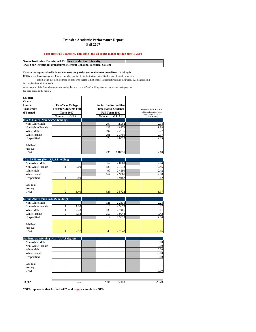#### **First-time Fall Transfers. This table (and all copies made) are due June 1, 2008**

| <b>Senior Institution Transferred To: Francis Marion University</b>   |  |  |
|-----------------------------------------------------------------------|--|--|
| Two-Year Institution Transferred   Central Carolina Technical College |  |  |

Complete **one copy of this table for each two-year campus that your students transferred from** , including the

USC two-year branch campuses. Please remember that the Senior Institution Native Students are driven by a specific

cohort group that includes those students who started as first-time at the respective senior institution. All blanks should be completed for all hour levels.

At the request of the Commission, we are asking that you report AA/AS holding students in a separate catagory that has been added to the matrix.

| <b>Student</b>                                  |                |                               |                |                                 |                                                         |
|-------------------------------------------------|----------------|-------------------------------|----------------|---------------------------------|---------------------------------------------------------|
| <b>Credit</b>                                   |                |                               |                |                                 |                                                         |
| <b>Hours</b>                                    |                | <b>Two-Year College</b>       |                | <b>Senior Institution First</b> |                                                         |
| <b>Transferre</b>                               |                | <b>Transfer Students Fall</b> |                | time Native Students            | Difference in G.P.A. (G.P.A.                            |
| d/Earned                                        |                | <b>Term 2007</b>              | Fall Term 2007 |                                 | of Senior Institution Native<br>Student minus G.P.A. of |
|                                                 | Number         | $G.P.A.*$                     | Number         | $G.P.A.*$                       | <b>Transfer Student)</b>                                |
| 0 to 29 Hours (Non-AA/AS holding)               |                |                               |                |                                 |                                                         |
| Non-White Male                                  |                |                               | 297            | 2.082                           | 2.08                                                    |
| Non-White Female                                |                |                               | 126            | 1.8772                          | 1.88                                                    |
| White Male                                      |                |                               | 197            | 2.2716                          | 2.27                                                    |
| <b>White Female</b>                             |                |                               | 291            | 2.3701                          | 2.37                                                    |
| Unspecified                                     |                |                               | 24             | 2.0522                          | 2.05                                                    |
| Sub-Total                                       |                |                               |                |                                 |                                                         |
| (use avg                                        |                |                               |                |                                 |                                                         |
| GPA)                                            |                |                               | 935            | 2.18331                         | 2.18                                                    |
| 30 to 59 Hours (Non-AA/AS holding)              |                |                               |                |                                 |                                                         |
| Non-White Male                                  |                |                               | 62             | 2.0369                          | 2.04                                                    |
| Non-White Female                                | $\mathbf{1}$   | 0.00                          | 188            | 2.4518                          | 2.45                                                    |
| White Male                                      |                |                               | 99             | 2.4199                          | 2.42                                                    |
| White Female                                    |                |                               | 167            | 2.9761                          | 2.98                                                    |
| Unspecified                                     | 1              | 2.80                          | 10             | 2.9182                          | 0.12                                                    |
|                                                 |                |                               |                |                                 |                                                         |
| Sub-Total                                       |                |                               |                |                                 |                                                         |
| (use avg                                        |                |                               |                |                                 |                                                         |
| GPA)                                            | $\overline{2}$ | 1.40                          | 526            | 2.5722                          | 1.17                                                    |
| 60 and Above (Non-AA/AS holding)                |                |                               |                |                                 |                                                         |
| Non-White Male                                  |                |                               | 121            | 2.2336                          | 2.23                                                    |
| Non-White Female                                | $\mathbf{1}$   | 1.70                          | 316            | 2.5673                          | 0.87                                                    |
| White Male                                      | $\mathbf{1}$   | 2.73                          | 138            | 2.7406                          | 0.01                                                    |
| White Female                                    | $\overline{c}$ | 3.52                          | 256            | 3.0942                          | $-0.42$                                                 |
| Unspecified                                     |                |                               | 12             | 2.3613                          | 2.36                                                    |
| Sub-Total                                       |                |                               |                |                                 |                                                         |
| (use avg                                        |                |                               |                |                                 |                                                         |
| GPA)                                            | $\overline{4}$ | 2.87                          | 843            | 2.7048                          | $-0.16$                                                 |
| <b>Students transferring with AA/AS degrees</b> |                |                               |                |                                 |                                                         |
| Non-White Male                                  |                |                               |                |                                 | 0.00                                                    |
| Non-White Female                                |                |                               |                |                                 | 0.00                                                    |
| White Male                                      |                |                               |                |                                 | 0.00                                                    |
| White Female                                    |                |                               |                |                                 | 0.00                                                    |
| Unspecified                                     |                |                               |                |                                 | 0.00                                                    |
|                                                 |                |                               |                |                                 |                                                         |
| Sub-Total                                       |                |                               |                |                                 |                                                         |
| (use avg                                        |                |                               |                |                                 |                                                         |
| GPA)                                            |                |                               |                |                                 | 0.00                                                    |
|                                                 |                |                               |                |                                 |                                                         |
| <b>TOTAL</b>                                    | 6              | 10.75                         | 2304           | 36.453                          | 25.70                                                   |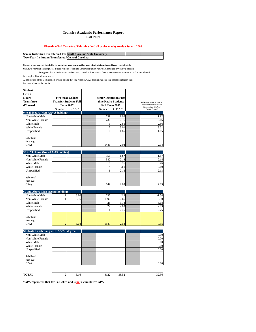#### **First-time Fall Transfers. This table (and all copies made) are due June 1, 2008**

| Senior Institution Transferred To: South Carolina State University |  |  |
|--------------------------------------------------------------------|--|--|
| <b>Two-Year Institution Transferred ICentral Carolina</b>          |  |  |

#### Complete **one copy of this table for each two-year campus that your students transferred from** , including the

USC two-year branch campuses. Please remember that the Senior Institution Native Students are driven by a specific

cohort group that includes those students who started as first-time at the respective senior institution. All blanks should be completed for all hour levels.

At the request of the Commission, we are asking that you report AA/AS holding students in a separate catagory that

|  |  | has been added to the matrix. |
|--|--|-------------------------------|
|  |  |                               |

| <b>Student</b>                                  |                               |           |                      |                                 |                                                        |
|-------------------------------------------------|-------------------------------|-----------|----------------------|---------------------------------|--------------------------------------------------------|
| <b>Credit</b>                                   |                               |           |                      |                                 |                                                        |
| <b>Hours</b>                                    | <b>Two-Year College</b>       |           |                      | <b>Senior Institution First</b> |                                                        |
| <b>Transferre</b>                               | <b>Transfer Students Fall</b> |           | time Native Students |                                 | Difference in G.P.A. (G.P.A.                           |
| d/Earned                                        | <b>Term 2007</b>              |           | Fall Term 2007       |                                 | of Senior Institution Native<br>Student minus G P A of |
|                                                 | Number                        | $G.P.A.*$ | Number               | $G.P.A.*$                       | <b>Transfer Student)</b>                               |
| 0 to 29 Hours (Non-AA/AS holding)               |                               |           |                      |                                 |                                                        |
| Non-White Male                                  |                               |           | 731                  | 1.92                            | 1.92                                                   |
| Non-White Female                                |                               |           | 736                  | 2.16                            | 2.16                                                   |
| White Male                                      |                               |           | 6                    | 2.86                            | 2.86                                                   |
| White Female                                    |                               |           | $\overline{7}$       | 3.01                            | 3.01                                                   |
| Unspecified                                     |                               |           | 6                    | 1.85                            | 1.85                                                   |
| Sub-Total                                       |                               |           |                      |                                 |                                                        |
| (use avg                                        |                               |           |                      |                                 |                                                        |
| GPA)                                            |                               |           | 1486                 | 2.04                            | 2.04                                                   |
| 30 to 59 Hours (Non-AA/AS holding)              |                               |           |                      |                                 |                                                        |
| Non-White Male                                  |                               |           | 356                  | 1.87                            | 1.87                                                   |
| Non-White Female                                |                               |           | 382                  | 2.14                            | 2.14                                                   |
| White Male                                      |                               |           | 6                    | 3.76                            | 3.76                                                   |
| White Female                                    |                               |           | $\overline{4}$       | 3.1                             | 3.10                                                   |
| Unspecified                                     |                               |           | $\mathbf{1}$         | 2.13                            | 2.13                                                   |
| Sub-Total                                       |                               |           |                      |                                 |                                                        |
| (use avg                                        |                               |           |                      |                                 |                                                        |
| GPA)                                            |                               |           | 749                  | 2.03                            | 2.03                                                   |
| 60 and Above (Non-AA/AS holding)                |                               |           |                      |                                 |                                                        |
| Non-White Male                                  | 1                             | 3.80      | 735                  | 2.3                             | $-1.50$                                                |
| Non-White Female                                | $\mathbf{1}$                  | 2.36      | 1096                 | 2.66                            | 0.30                                                   |
| White Male                                      |                               |           | 28                   | 3.18                            | 3.18                                                   |
| White Female                                    |                               |           | 24                   | 2.83                            | 2.83                                                   |
| Unspecified                                     |                               |           | $\overline{4}$       | 2.75                            | 2.75                                                   |
| Sub-Total                                       |                               |           |                      |                                 |                                                        |
| (use avg                                        |                               |           |                      |                                 |                                                        |
| GPA)                                            | $\overline{2}$                | 3.08      | 1887                 | 2.53                            | $-0.55$                                                |
| <b>Students transferring with AA/AS degrees</b> |                               |           |                      |                                 |                                                        |
| Non-White Male                                  |                               |           |                      |                                 | 0.00                                                   |
| Non-White Female                                |                               |           |                      |                                 | 0.00                                                   |
| White Male                                      |                               |           |                      |                                 | 0.00                                                   |
| White Female                                    |                               |           |                      |                                 | 0.00                                                   |
| Unspecified                                     |                               |           |                      |                                 | 0.00                                                   |
| Sub-Total                                       |                               |           |                      |                                 |                                                        |
| (use avg                                        |                               |           |                      |                                 |                                                        |
| GPA)                                            |                               |           |                      |                                 | 0.00                                                   |
|                                                 |                               |           |                      |                                 |                                                        |
| <b>TOTAL</b>                                    | $\overline{c}$                | 6.16      | 4122                 | 38.52                           | 32.36                                                  |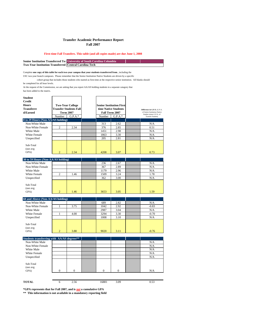**First-time Fall Transfers. This table (and all copies made) are due June 1, 2008** 

|                                                          | Senior Institution Transferred To: University of South Carolina Columbia |  |
|----------------------------------------------------------|--------------------------------------------------------------------------|--|
| Two-Year Institution Transferred   Central Carolina Tech |                                                                          |  |

Complete **one copy of this table for each two-year campus that your students transferred from** , including the

USC two-year branch campuses. Please remember that the Senior Institution Native Students are driven by a specific

cohort group that includes those students who started as first-time at the respective senior institution. All blanks should be completed for all hour levels.

Sub-Total (use avg GPA)

At the request of the Commission, we are asking that you report AA/AS holding students in a separate catagory that has been added to the matrix.

| <b>Student</b><br><b>Credit</b><br><b>Hours</b><br><b>Transferre</b><br>d/Earned | <b>Two-Year College</b><br><b>Transfer Students Fall</b><br><b>Term 2007</b> |           |  | Fall Term 2007 | <b>Senior Institution First</b><br>time Native Students |  | Difference in G.P.A. (G.P.A.<br>of Senior Institution Native<br>Student minus G.P.A. of |  |  |
|----------------------------------------------------------------------------------|------------------------------------------------------------------------------|-----------|--|----------------|---------------------------------------------------------|--|-----------------------------------------------------------------------------------------|--|--|
|                                                                                  | Number                                                                       | $G.P.A.*$ |  | Number         | $G.P.A.*$                                               |  | Transfer Student)                                                                       |  |  |
| 0 to 29 Hours (Non-AA/AS holding)                                                |                                                                              |           |  |                |                                                         |  |                                                                                         |  |  |
| Non-White Male                                                                   |                                                                              |           |  | 313            | 2.62                                                    |  | N/A                                                                                     |  |  |
| Non-White Female                                                                 | $\mathfrak{D}$                                                               | 2.34      |  | 376            | 2.85                                                    |  | 0.51                                                                                    |  |  |
| White Male                                                                       |                                                                              |           |  | 1451           | 2.98                                                    |  | N/A                                                                                     |  |  |
| White Female                                                                     |                                                                              |           |  | 1863           | 3.30                                                    |  | N/A                                                                                     |  |  |
| Unspecified                                                                      |                                                                              |           |  | 205            | 2.81                                                    |  | N/A                                                                                     |  |  |
| Sub-Total<br>(use avg<br>GPA)                                                    | $\overline{2}$                                                               | 2.34      |  | 4208           | 3.07                                                    |  | 0.73                                                                                    |  |  |
| 30 to 59 Hours (Non-AA/AS holding)                                               |                                                                              |           |  |                |                                                         |  |                                                                                         |  |  |
| Non-White Male                                                                   |                                                                              |           |  | 236            | 2.67                                                    |  | N/A                                                                                     |  |  |
|                                                                                  |                                                                              |           |  |                |                                                         |  |                                                                                         |  |  |
| Non-White Female                                                                 |                                                                              |           |  | 367            | 2.89                                                    |  | N/A                                                                                     |  |  |
| White Male                                                                       |                                                                              |           |  | 1179           | 2.96                                                    |  | N/A                                                                                     |  |  |
| White Female                                                                     | $\overline{c}$                                                               | 1.46      |  | 1509           | 3.24                                                    |  | 1.78                                                                                    |  |  |
| Unspecified                                                                      |                                                                              |           |  | 362            | 3.00                                                    |  | N/A                                                                                     |  |  |

| 60 and Above (Non-AA/AS holding) |           |      |      |      |         |
|----------------------------------|-----------|------|------|------|---------|
| Non-White Male                   |           |      | 689  | 2.82 | N/A     |
| Non-White Female                 |           | 3.75 | 1042 | 2.92 | $-0.83$ |
| White Male                       |           |      | 2987 | 3.04 | N/A     |
| White Female                     |           | 4.00 | 3294 | 3.30 | $-0.70$ |
| Unspecified                      |           |      | 1008 | 3.10 | N/A     |
| Sub-Total<br>(use avg<br>GPA)    | $\bigcap$ | 3.88 | 9020 | 3.11 | $-0.76$ |

2 | 1.46 | 3653 | 3.05 | 1.59

| Students transferring with AA/AS degrees** |          |  |          |     |
|--------------------------------------------|----------|--|----------|-----|
| Non-White Male                             |          |  |          | N/A |
| Non-White Female                           |          |  |          | N/A |
| White Male                                 |          |  |          | N/A |
| <b>White Female</b>                        |          |  |          | N/A |
| Unspecified                                |          |  |          | N/A |
| Sub-Total<br>(use avg<br>GPA)              | $\Omega$ |  | $\Omega$ | N/A |
|                                            |          |  |          |     |

**TOTAL** 6 2.56 16881 3.09 0.53

**\*GPA represents that for Fall 2007, and is not a cumulative GPA** 

**\*\* This information is not available in a mandatory reporting field**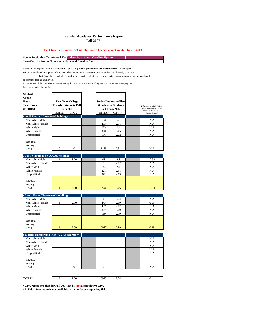#### **First-time Fall Transfers. This table (and all copies made) are due June 1, 2008**

|                                                          | Senior Institution Transferred To: University of South Carolina Upstate |  |
|----------------------------------------------------------|-------------------------------------------------------------------------|--|
| Two-Year Institution Transferred 1 Central Carolina Tech |                                                                         |  |

#### Complete **one copy of this table for each two-year campus that your students transferred from** , including the USC two-year branch campuses. Please remember that the Senior Institution Native Students are driven by a specific

cohort group that includes those students who started as first-time at the respective senior institution. All blanks should

be completed for all hour levels.

At the request of the Commission, we are asking that you report AA/AS holding students in a separate catagory that has been added to the matrix.

| <b>Student</b><br><b>Credit</b>   |                  |                               |                      |                                 |                                             |  |
|-----------------------------------|------------------|-------------------------------|----------------------|---------------------------------|---------------------------------------------|--|
| <b>Hours</b>                      |                  | <b>Two-Year College</b>       |                      | <b>Senior Institution First</b> |                                             |  |
| <b>Transferre</b>                 |                  | <b>Transfer Students Fall</b> | time Native Students |                                 | Difference in G.P.A. (G.P.A.                |  |
| d/Earned                          | <b>Term 2007</b> |                               | Fall Term 2007       |                                 | of Senior Institution Native                |  |
|                                   | Number           | $G.P.A.*$                     | Number               | $G.P.A.*$                       | Student minus G P A of<br>Transfer Student) |  |
| 0 to 29 Hours (Non-AA/AS holding) |                  |                               |                      |                                 |                                             |  |
| Non-White Male                    |                  |                               | 133                  | 2.21                            | N/A                                         |  |
| Non-White Female                  |                  |                               | 253                  | 2.51                            | N/A                                         |  |
| White Male                        |                  |                               | 283                  | 2.4                             | N/A                                         |  |
| White Female                      |                  |                               | 348                  | 2.66                            | N/A                                         |  |
| Unspecified                       |                  |                               | 116                  | 2.72                            | N/A                                         |  |
| Sub-Total<br>(use avg<br>GPA)     | $\theta$         | $\theta$                      | 1133                 | 2.51                            | N/A                                         |  |

| 30 to 59 Hours (Non-AA/AS holding) |  |      |     |      |         |
|------------------------------------|--|------|-----|------|---------|
| Non-White Male                     |  | 3.20 | 68  | 2.3  | $-0.90$ |
| Non-White Female                   |  |      | 181 | 2.67 | N/A     |
| White Male                         |  |      | 144 | 2.4  | N/A     |
| White Female                       |  |      | 228 | 2.91 | N/A     |
| Unspecified                        |  |      | 87  | 2.69 | N/A     |
|                                    |  |      |     |      |         |
| Sub-Total                          |  |      |     |      |         |
| (use avg                           |  |      |     |      |         |
| GPA)                               |  | 3.20 | 708 | 2.66 | $-0.54$ |

| 60 and Above (Non-AA/AS holding) |  |      |      |      |      |
|----------------------------------|--|------|------|------|------|
| Non-White Male                   |  |      | 161  | 2.44 | N/A  |
| Non-White Female                 |  | 2.00 | 443  | 2.69 | 0.69 |
| White Male                       |  |      | 447  | 2.82 | N/A  |
| White Female                     |  |      | 847  | 3.09 | N/A  |
| Unspecified                      |  |      | 189  | 2.99 | N/A  |
|                                  |  |      |      |      |      |
| Sub-Total                        |  |      |      |      |      |
| (use avg                         |  |      |      |      |      |
| GPA)                             |  | 2.00 | 2087 | 2.89 | 0.89 |

| Students transferring with AA/AS degrees** |   |  |          |     |
|--------------------------------------------|---|--|----------|-----|
| Non-White Male                             |   |  |          | N/A |
| Non-White Female                           |   |  |          | N/A |
| White Male                                 |   |  |          | N/A |
| White Female                               |   |  |          | N/A |
| Unspecified                                |   |  |          | N/A |
| Sub-Total<br>(use avg                      |   |  |          |     |
| GPA)                                       | ſ |  | $\Omega$ | N/A |

**TOTAL** 2 2.60 3928 2.74 0.14

**\*GPA represents that for Fall 2007, and is not a cumulative GPA** 

**\*\* This information is not available in a mandatory reporting field**